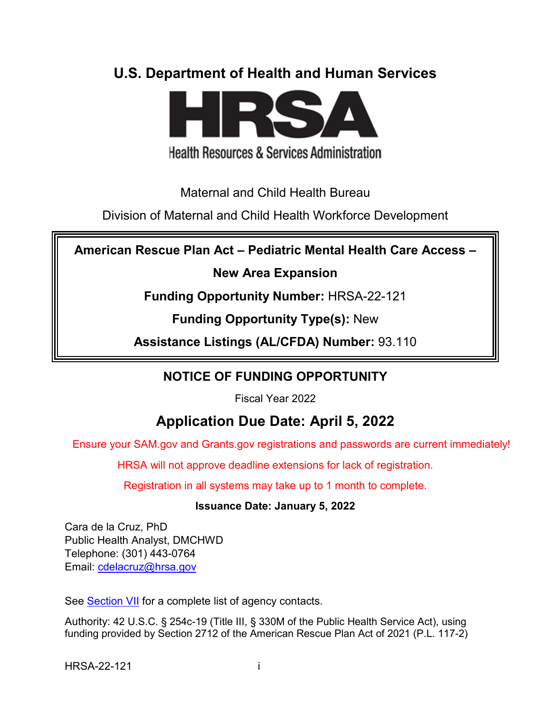# **U.S. Department of Health and Human Services**



**Health Resources & Services Administration** 

Maternal and Child Health Bureau

Division of Maternal and Child Health Workforce Development

**American Rescue Plan Act – Pediatric Mental Health Care Access –**

**New Area Expansion**

**Funding Opportunity Number:** HRSA-22-121

**Funding Opportunity Type(s):** New

**Assistance Listings (AL/CFDA) Number:** 93.110

# **NOTICE OF FUNDING OPPORTUNITY**

Fiscal Year 2022

# **Application Due Date: April 5, 2022**

Ensure your SAM.gov and Grants.gov registrations and passwords are current immediately!

HRSA will not approve deadline extensions for lack of registration.

Registration in all systems may take up to 1 month to complete.

## **Issuance Date: January 5, 2022**

Cara de la Cruz, PhD Public Health Analyst, DMCHWD Telephone: (301) 443-0764 Email: [cdelacruz@hrsa.gov](mailto:cdelacruz@hrsa.gov)

See [Section VII](#page-46-0) for a complete list of agency contacts.

Authority: 42 U.S.C. § 254c-19 (Title III, § 330M of the Public Health Service Act), using funding provided by Section 2712 of the American Rescue Plan Act of 2021 (P.L. 117-2)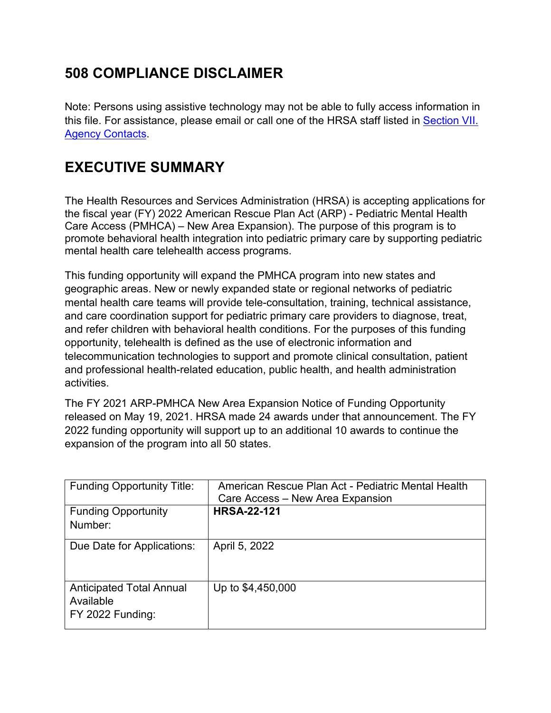# **508 COMPLIANCE DISCLAIMER**

Note: Persons using assistive technology may not be able to fully access information in this file. For assistance, please email or call one of the HRSA staff listed in [Section VII.](#page-46-0)  [Agency Contacts.](#page-46-0)

# **EXECUTIVE SUMMARY**

The Health Resources and Services Administration (HRSA) is accepting applications for the fiscal year (FY) 2022 American Rescue Plan Act (ARP) - Pediatric Mental Health Care Access (PMHCA) – New Area Expansion). The purpose of this program is to promote behavioral health integration into pediatric primary care by supporting pediatric mental health care telehealth access programs.

This funding opportunity will expand the PMHCA program into new states and geographic areas. New or newly expanded state or regional networks of pediatric mental health care teams will provide tele-consultation, training, technical assistance, and care coordination support for pediatric primary care providers to diagnose, treat, and refer children with behavioral health conditions. For the purposes of this funding opportunity, telehealth is defined as the use of electronic information and telecommunication technologies to support and promote clinical consultation, patient and professional health-related education, public health, and health administration activities.

The FY 2021 ARP-PMHCA New Area Expansion Notice of Funding Opportunity released on May 19, 2021. HRSA made 24 awards under that announcement. The FY 2022 funding opportunity will support up to an additional 10 awards to continue the expansion of the program into all 50 states.

| <b>Funding Opportunity Title:</b>                                | American Rescue Plan Act - Pediatric Mental Health<br>Care Access – New Area Expansion |  |
|------------------------------------------------------------------|----------------------------------------------------------------------------------------|--|
| <b>Funding Opportunity</b><br>Number:                            | <b>HRSA-22-121</b>                                                                     |  |
| Due Date for Applications:                                       | April 5, 2022                                                                          |  |
| <b>Anticipated Total Annual</b><br>Available<br>FY 2022 Funding: | Up to \$4,450,000                                                                      |  |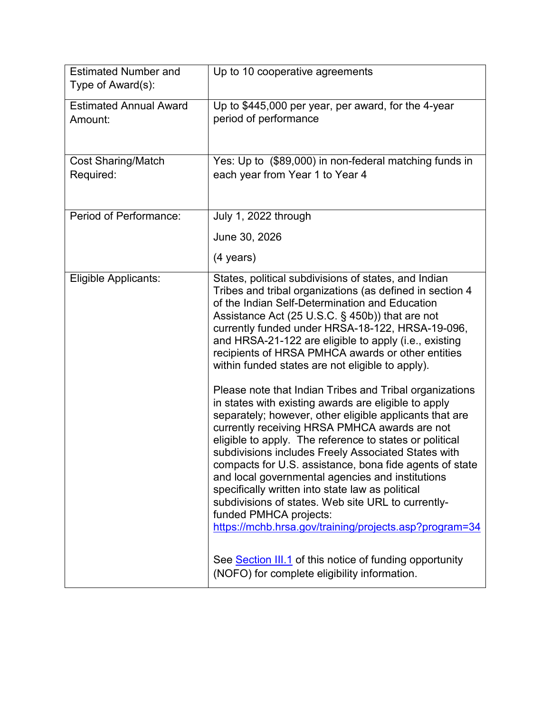| <b>Estimated Number and</b><br>Type of Award(s): | Up to 10 cooperative agreements                                                                                                                                                                                                                                                                                                                                                                                                                                                                                                                                                                                                                                                                                                                                                                                                                                                                                                                                                                                                                                                                           |  |  |
|--------------------------------------------------|-----------------------------------------------------------------------------------------------------------------------------------------------------------------------------------------------------------------------------------------------------------------------------------------------------------------------------------------------------------------------------------------------------------------------------------------------------------------------------------------------------------------------------------------------------------------------------------------------------------------------------------------------------------------------------------------------------------------------------------------------------------------------------------------------------------------------------------------------------------------------------------------------------------------------------------------------------------------------------------------------------------------------------------------------------------------------------------------------------------|--|--|
| <b>Estimated Annual Award</b><br>Amount:         | Up to \$445,000 per year, per award, for the 4-year<br>period of performance                                                                                                                                                                                                                                                                                                                                                                                                                                                                                                                                                                                                                                                                                                                                                                                                                                                                                                                                                                                                                              |  |  |
| <b>Cost Sharing/Match</b><br>Required:           | Yes: Up to (\$89,000) in non-federal matching funds in<br>each year from Year 1 to Year 4                                                                                                                                                                                                                                                                                                                                                                                                                                                                                                                                                                                                                                                                                                                                                                                                                                                                                                                                                                                                                 |  |  |
| Period of Performance:                           | July 1, 2022 through                                                                                                                                                                                                                                                                                                                                                                                                                                                                                                                                                                                                                                                                                                                                                                                                                                                                                                                                                                                                                                                                                      |  |  |
|                                                  | June 30, 2026                                                                                                                                                                                                                                                                                                                                                                                                                                                                                                                                                                                                                                                                                                                                                                                                                                                                                                                                                                                                                                                                                             |  |  |
|                                                  | $(4 \text{ years})$                                                                                                                                                                                                                                                                                                                                                                                                                                                                                                                                                                                                                                                                                                                                                                                                                                                                                                                                                                                                                                                                                       |  |  |
| Eligible Applicants:                             | States, political subdivisions of states, and Indian<br>Tribes and tribal organizations (as defined in section 4<br>of the Indian Self-Determination and Education<br>Assistance Act (25 U.S.C. § 450b)) that are not<br>currently funded under HRSA-18-122, HRSA-19-096,<br>and HRSA-21-122 are eligible to apply (i.e., existing<br>recipients of HRSA PMHCA awards or other entities<br>within funded states are not eligible to apply).<br>Please note that Indian Tribes and Tribal organizations<br>in states with existing awards are eligible to apply<br>separately; however, other eligible applicants that are<br>currently receiving HRSA PMHCA awards are not<br>eligible to apply. The reference to states or political<br>subdivisions includes Freely Associated States with<br>compacts for U.S. assistance, bona fide agents of state<br>and local governmental agencies and institutions<br>specifically written into state law as political<br>subdivisions of states. Web site URL to currently-<br>funded PMHCA projects:<br>https://mchb.hrsa.gov/training/projects.asp?program=34 |  |  |
|                                                  | See Section III.1 of this notice of funding opportunity<br>(NOFO) for complete eligibility information.                                                                                                                                                                                                                                                                                                                                                                                                                                                                                                                                                                                                                                                                                                                                                                                                                                                                                                                                                                                                   |  |  |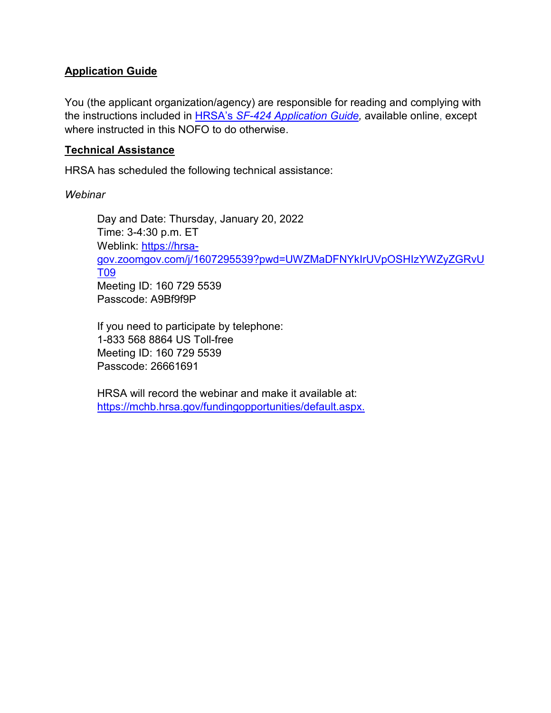#### **Application Guide**

You (the applicant organization/agency) are responsible for reading and complying with the instructions included in HRSA's *SF-424 [Application Guide,](http://www.hrsa.gov/grants/apply/applicationguide/sf424guide.pdf)* available online, except where instructed in this NOFO to do otherwise.

#### **Technical Assistance**

HRSA has scheduled the following technical assistance:

*Webinar*

Day and Date: Thursday, January 20, 2022 Time: 3-4:30 p.m. ET Weblink: [https://hrsa](https://hrsa-gov.zoomgov.com/j/1607295539?pwd=UWZMaDFNYkIrUVpOSHIzYWZyZGRvUT09)[gov.zoomgov.com/j/1607295539?pwd=UWZMaDFNYkIrUVpOSHIzYWZyZGRvU](https://hrsa-gov.zoomgov.com/j/1607295539?pwd=UWZMaDFNYkIrUVpOSHIzYWZyZGRvUT09) [T09](https://hrsa-gov.zoomgov.com/j/1607295539?pwd=UWZMaDFNYkIrUVpOSHIzYWZyZGRvUT09) Meeting ID: 160 729 5539 Passcode: A9Bf9f9P

If you need to participate by telephone: 1-833 568 8864 US Toll-free Meeting ID: 160 729 5539 Passcode: 26661691

HRSA will record the webinar and make it available at: [https://mchb.hrsa.gov/fundingopportunities/default.aspx.](https://mchb.hrsa.gov/fundingopportunities/default.aspx)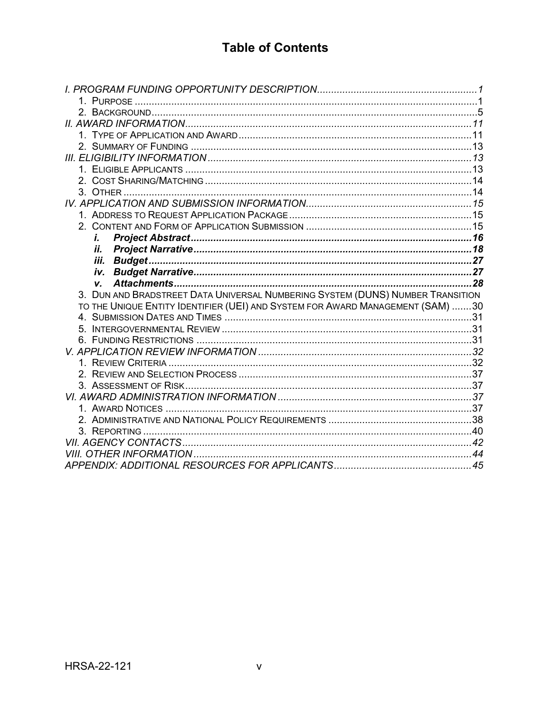# **Table of Contents**

| i.                                                                             |  |
|--------------------------------------------------------------------------------|--|
| İİ.                                                                            |  |
| iii.<br>iv.                                                                    |  |
|                                                                                |  |
|                                                                                |  |
| V.                                                                             |  |
| 3. DUN AND BRADSTREET DATA UNIVERSAL NUMBERING SYSTEM (DUNS) NUMBER TRANSITION |  |
| TO THE UNIQUE ENTITY IDENTIFIER (UEI) AND SYSTEM FOR AWARD MANAGEMENT (SAM) 30 |  |
|                                                                                |  |
|                                                                                |  |
|                                                                                |  |
|                                                                                |  |
|                                                                                |  |
|                                                                                |  |
|                                                                                |  |
|                                                                                |  |
|                                                                                |  |
|                                                                                |  |
|                                                                                |  |
|                                                                                |  |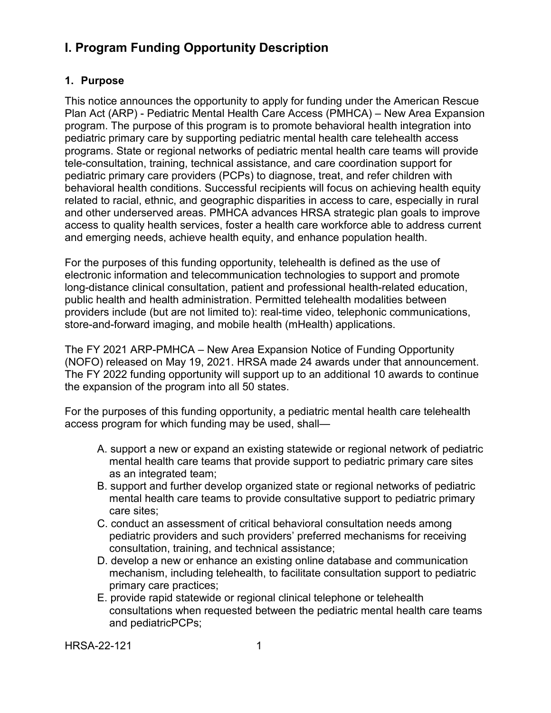# <span id="page-5-0"></span>**I. Program Funding Opportunity Description**

### <span id="page-5-1"></span>**1. Purpose**

This notice announces the opportunity to apply for funding under the American Rescue Plan Act (ARP) - Pediatric Mental Health Care Access (PMHCA) – New Area Expansion program. The purpose of this program is to promote behavioral health integration into pediatric primary care by supporting pediatric mental health care telehealth access programs. State or regional networks of pediatric mental health care teams will provide tele-consultation, training, technical assistance, and care coordination support for pediatric primary care providers (PCPs) to diagnose, treat, and refer children with behavioral health conditions. Successful recipients will focus on achieving health equity related to racial, ethnic, and geographic disparities in access to care, especially in rural and other underserved areas. PMHCA advances HRSA strategic plan goals to improve access to quality health services, foster a health care workforce able to address current and emerging needs, achieve health equity, and enhance population health.

For the purposes of this funding opportunity, telehealth is defined as the use of electronic information and telecommunication technologies to support and promote long-distance clinical consultation, patient and professional health-related education, public health and health administration. Permitted telehealth modalities between providers include (but are not limited to): real-time video, telephonic communications, store-and-forward imaging, and mobile health (mHealth) applications.

The FY 2021 ARP-PMHCA – New Area Expansion Notice of Funding Opportunity (NOFO) released on May 19, 2021. HRSA made 24 awards under that announcement. The FY 2022 funding opportunity will support up to an additional 10 awards to continue the expansion of the program into all 50 states.

For the purposes of this funding opportunity, a pediatric mental health care telehealth access program for which funding may be used, shall—

- A. support a new or expand an existing statewide or regional network of pediatric mental health care teams that provide support to pediatric primary care sites as an integrated team;
- B. support and further develop organized state or regional networks of pediatric mental health care teams to provide consultative support to pediatric primary care sites;
- C. conduct an assessment of critical behavioral consultation needs among pediatric providers and such providers' preferred mechanisms for receiving consultation, training, and technical assistance;
- D. develop a new or enhance an existing online database and communication mechanism, including telehealth, to facilitate consultation support to pediatric primary care practices;
- E. provide rapid statewide or regional clinical telephone or telehealth consultations when requested between the pediatric mental health care teams and pediatricPCPs;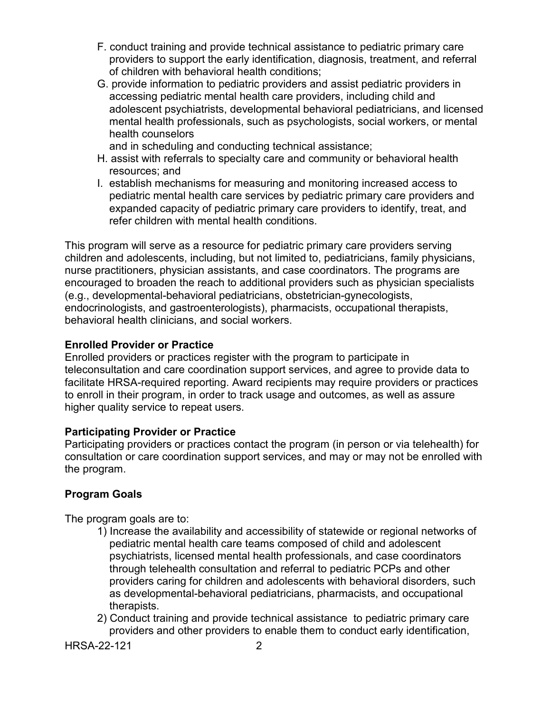- F. conduct training and provide technical assistance to pediatric primary care providers to support the early identification, diagnosis, treatment, and referral of children with behavioral health conditions;
- G. provide information to pediatric providers and assist pediatric providers in accessing pediatric mental health care providers, including child and adolescent psychiatrists, developmental behavioral pediatricians, and licensed mental health professionals, such as psychologists, social workers, or mental health counselors

and in scheduling and conducting technical assistance;

- H. assist with referrals to specialty care and community or behavioral health resources; and
- I. establish mechanisms for measuring and monitoring increased access to pediatric mental health care services by pediatric primary care providers and expanded capacity of pediatric primary care providers to identify, treat, and refer children with mental health conditions.

This program will serve as a resource for pediatric primary care providers serving children and adolescents, including, but not limited to, pediatricians, family physicians, nurse practitioners, physician assistants, and case coordinators. The programs are encouraged to broaden the reach to additional providers such as physician specialists (e.g., developmental-behavioral pediatricians, obstetrician-gynecologists, endocrinologists, and gastroenterologists), pharmacists, occupational therapists, behavioral health clinicians, and social workers.

#### **Enrolled Provider or Practice**

Enrolled providers or practices register with the program to participate in teleconsultation and care coordination support services, and agree to provide data to facilitate HRSA-required reporting. Award recipients may require providers or practices to enroll in their program, in order to track usage and outcomes, as well as assure higher quality service to repeat users.

#### **Participating Provider or Practice**

Participating providers or practices contact the program (in person or via telehealth) for consultation or care coordination support services, and may or may not be enrolled with the program.

#### **Program Goals**

The program goals are to:

- 1) Increase the availability and accessibility of statewide or regional networks of pediatric mental health care teams composed of child and adolescent psychiatrists, licensed mental health professionals, and case coordinators through telehealth consultation and referral to pediatric PCPs and other providers caring for children and adolescents with behavioral disorders, such as developmental-behavioral pediatricians, pharmacists, and occupational therapists.
- 2) Conduct training and provide technical assistance to pediatric primary care providers and other providers to enable them to conduct early identification,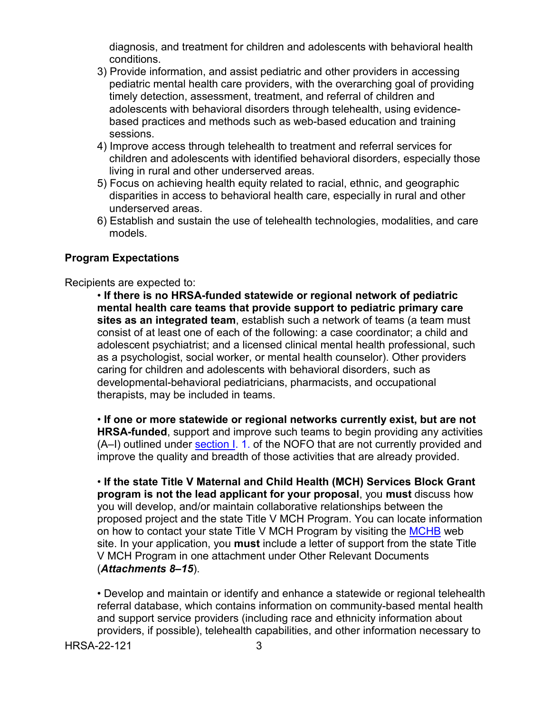diagnosis, and treatment for children and adolescents with behavioral health conditions.

- 3) Provide information, and assist pediatric and other providers in accessing pediatric mental health care providers, with the overarching goal of providing timely detection, assessment, treatment, and referral of children and adolescents with behavioral disorders through telehealth, using evidencebased practices and methods such as web-based education and training sessions.
- 4) Improve access through telehealth to treatment and referral services for children and adolescents with identified behavioral disorders, especially those living in rural and other underserved areas.
- 5) Focus on achieving health equity related to racial, ethnic, and geographic disparities in access to behavioral health care, especially in rural and other underserved areas.
- 6) Establish and sustain the use of telehealth technologies, modalities, and care models.

#### **Program Expectations**

Recipients are expected to:

• **If there is no HRSA-funded statewide or regional network of pediatric mental health care teams that provide support to pediatric primary care sites as an integrated team**, establish such a network of teams (a team must consist of at least one of each of the following: a case coordinator; a child and adolescent psychiatrist; and a licensed clinical mental health professional, such as a psychologist, social worker, or mental health counselor). Other providers caring for children and adolescents with behavioral disorders, such as developmental-behavioral pediatricians, pharmacists, and occupational therapists, may be included in teams.

• **If one or more statewide or regional networks currently exist, but are not HRSA-funded**, support and improve such teams to begin providing any activities (A–I) outlined under [section I.](#page-5-0) 1. of the NOFO that are not currently provided and improve the quality and breadth of those activities that are already provided.

• **If the state Title V Maternal and Child Health (MCH) Services Block Grant program is not the lead applicant for your proposal**, you **must** discuss how you will develop, and/or maintain collaborative relationships between the proposed project and the state Title V MCH Program. You can locate information on how to contact your state Title V MCH Program by visiting the [MCHB](https://www.mchb.hrsa.gov/) web site. In your application, you **must** include a letter of support from the state Title V MCH Program in one attachment under Other Relevant Documents (*Attachments 8–15*).

• Develop and maintain or identify and enhance a statewide or regional telehealth referral database, which contains information on community-based mental health and support service providers (including race and ethnicity information about providers, if possible), telehealth capabilities, and other information necessary to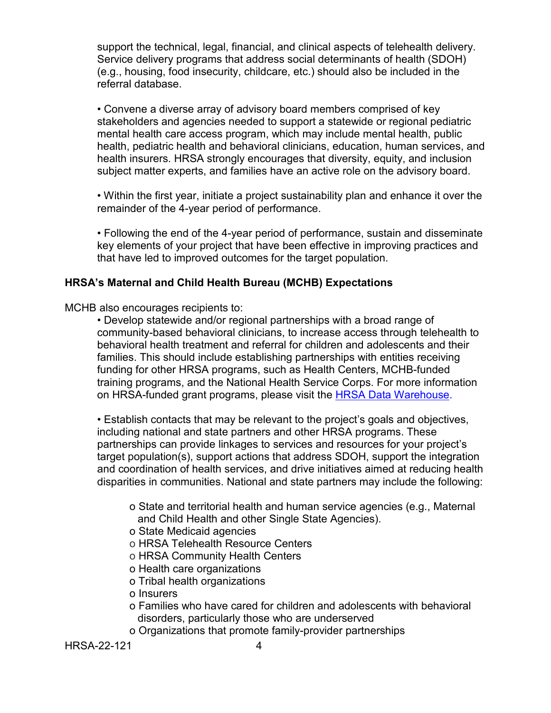support the technical, legal, financial, and clinical aspects of telehealth delivery. Service delivery programs that address social determinants of health (SDOH) (e.g., housing, food insecurity, childcare, etc.) should also be included in the referral database.

• Convene a diverse array of advisory board members comprised of key stakeholders and agencies needed to support a statewide or regional pediatric mental health care access program, which may include mental health, public health, pediatric health and behavioral clinicians, education, human services, and health insurers. HRSA strongly encourages that diversity, equity, and inclusion subject matter experts, and families have an active role on the advisory board.

• Within the first year, initiate a project sustainability plan and enhance it over the remainder of the 4-year period of performance.

• Following the end of the 4-year period of performance, sustain and disseminate key elements of your project that have been effective in improving practices and that have led to improved outcomes for the target population.

#### **HRSA's Maternal and Child Health Bureau (MCHB) Expectations**

MCHB also encourages recipients to:

• Develop statewide and/or regional partnerships with a broad range of community-based behavioral clinicians, to increase access through telehealth to behavioral health treatment and referral for children and adolescents and their families. This should include establishing partnerships with entities receiving funding for other HRSA programs, such as Health Centers, MCHB-funded training programs, and the National Health Service Corps. For more information on HRSA-funded grant programs, please visit the **[HRSA Data Warehouse.](https://data.hrsa.gov/)** 

• Establish contacts that may be relevant to the project's goals and objectives, including national and state partners and other HRSA programs. These partnerships can provide linkages to services and resources for your project's target population(s), support actions that address SDOH, support the integration and coordination of health services, and drive initiatives aimed at reducing health disparities in communities. National and state partners may include the following:

- o State and territorial health and human service agencies (e.g., Maternal and Child Health and other Single State Agencies).
- o State Medicaid agencies
- o HRSA Telehealth Resource Centers
- o HRSA Community Health Centers
- o Health care organizations
- o Tribal health organizations
- o Insurers
- o Families who have cared for children and adolescents with behavioral disorders, particularly those who are underserved
- o Organizations that promote family-provider partnerships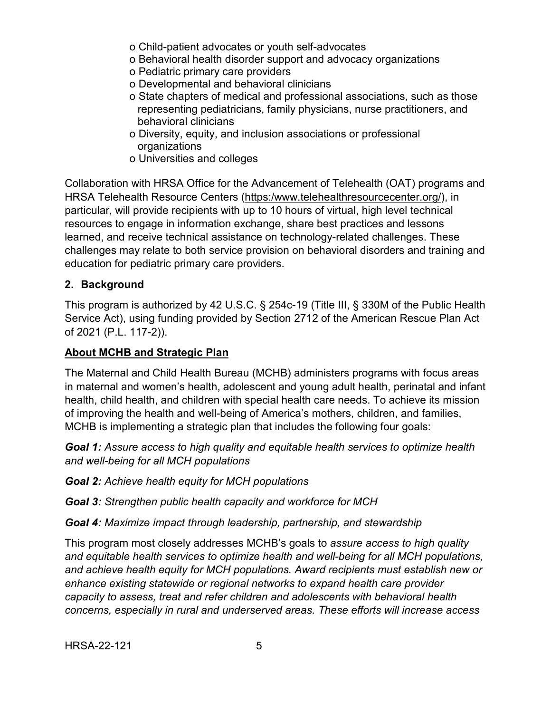- o Child-patient advocates or youth self-advocates
- o Behavioral health disorder support and advocacy organizations
- o Pediatric primary care providers
- o Developmental and behavioral clinicians
- o State chapters of medical and professional associations, such as those representing pediatricians, family physicians, nurse practitioners, and behavioral clinicians
- o Diversity, equity, and inclusion associations or professional organizations
- o Universities and colleges

Collaboration with HRSA Office for the Advancement of Telehealth (OAT) programs and HRSA Telehealth Resource Centers [\(https:/www.telehealthresourcecenter.org/\)](https://www.telehealthresourcecenter.org/), in particular, will provide recipients with up to 10 hours of virtual, high level technical resources to engage in information exchange, share best practices and lessons learned, and receive technical assistance on technology-related challenges. These challenges may relate to both service provision on behavioral disorders and training and education for pediatric primary care providers.

#### <span id="page-9-0"></span>**2. Background**

This program is authorized by 42 U.S.C. § 254c-19 (Title III, § 330M of the Public Health Service Act), using funding provided by Section 2712 of the American Rescue Plan Act of 2021 (P.L. 117-2)).

#### **About MCHB and Strategic Plan**

The Maternal and Child Health Bureau (MCHB) administers programs with focus areas in maternal and women's health, adolescent and young adult health, perinatal and infant health, child health, and children with special health care needs. To achieve its mission of improving the health and well-being of America's mothers, children, and families, MCHB is implementing a strategic plan that includes the following four goals:

*Goal 1: Assure access to high quality and equitable health services to optimize health and well-being for all MCH populations*

*Goal 2: Achieve health equity for MCH populations*

*Goal 3: Strengthen public health capacity and workforce for MCH*

*Goal 4: Maximize impact through leadership, partnership, and stewardship*

This program most closely addresses MCHB's goals to *assure access to high quality and equitable health services to optimize health and well-being for all MCH populations, and achieve health equity for MCH populations. Award recipients must establish new or enhance existing statewide or regional networks to expand health care provider capacity to assess, treat and refer children and adolescents with behavioral health concerns, especially in rural and underserved areas. These efforts will increase access*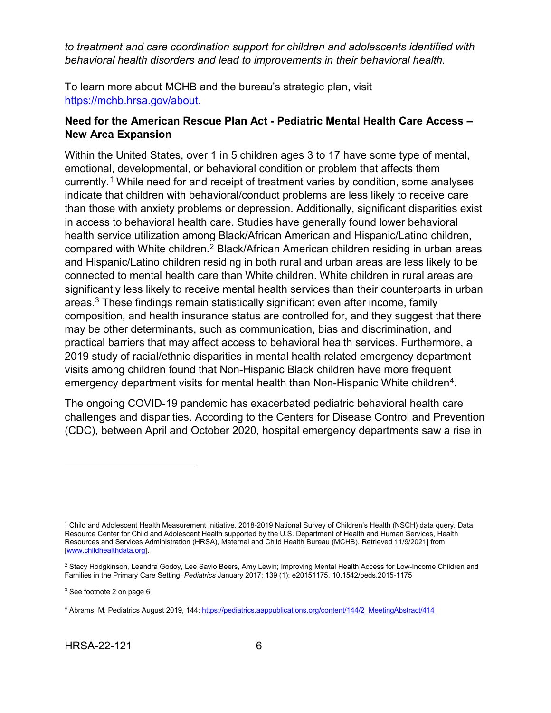*to treatment and care coordination support for children and adolescents identified with behavioral health disorders and lead to improvements in their behavioral health.*

To learn more about MCHB and the bureau's strategic plan, visit [https://mchb.hrsa.gov/about.](https://mchb.hrsa.gov/about)

#### **Need for the American Rescue Plan Act - Pediatric Mental Health Care Access – New Area Expansion**

Within the United States, over 1 in 5 children ages 3 to 17 have some type of mental, emotional, developmental, or behavioral condition or problem that affects them currently.<sup>[1](#page-10-0)</sup> While need for and receipt of treatment varies by condition, some analyses indicate that children with behavioral/conduct problems are less likely to receive care than those with anxiety problems or depression. Additionally, significant disparities exist in access to behavioral health care. Studies have generally found lower behavioral health service utilization among Black/African American and Hispanic/Latino children, compared with White children.[2](#page-10-1) Black/African American children residing in urban areas and Hispanic/Latino children residing in both rural and urban areas are less likely to be connected to mental health care than White children. White children in rural areas are significantly less likely to receive mental health services than their counterparts in urban areas.[3](#page-10-2) These findings remain statistically significant even after income, family composition, and health insurance status are controlled for, and they suggest that there may be other determinants, such as communication, bias and discrimination, and practical barriers that may affect access to behavioral health services. Furthermore, a 2019 study of racial/ethnic disparities in mental health related emergency department visits among children found that Non-Hispanic Black children have more frequent emergency department visits for mental health than Non-Hispanic White children<sup>4</sup>.

The ongoing COVID-19 pandemic has exacerbated pediatric behavioral health care challenges and disparities. According to the Centers for Disease Control and Prevention (CDC), between April and October 2020, hospital emergency departments saw a rise in

<span id="page-10-2"></span><sup>3</sup> See footnote 2 on page 6

<span id="page-10-0"></span><sup>1</sup> Child and Adolescent Health Measurement Initiative. 2018-2019 National Survey of Children's Health (NSCH) data query. Data Resource Center for Child and Adolescent Health supported by the U.S. Department of Health and Human Services, Health Resources and Services Administration (HRSA), Maternal and Child Health Bureau (MCHB). Retrieved 11/9/2021] from [\[www.childhealthdata.org\].](http://www.childhealthdata.org/)

<span id="page-10-1"></span><sup>&</sup>lt;sup>2</sup> Stacy Hodgkinson, Leandra Godoy, Lee Savio Beers, Amy Lewin; Improving Mental Health Access for Low-Income Children and Families in the Primary Care Setting. *Pediatrics* January 2017; 139 (1): e20151175. 10.1542/peds.2015-1175

<span id="page-10-3"></span><sup>4</sup> Abrams, M. Pediatrics August 2019, 144[: https://pediatrics.aappublications.org/content/144/2\\_MeetingAbstract/414](https://pediatrics.aappublications.org/content/144/2_MeetingAbstract/414)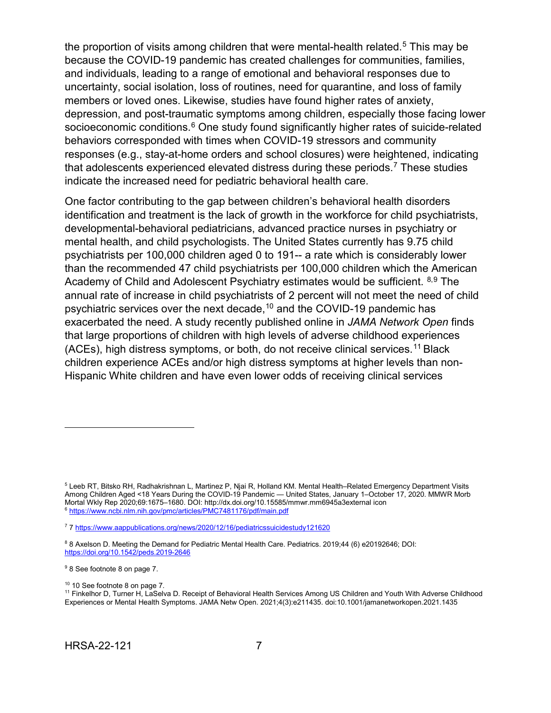the proportion of visits among children that were mental-health related.<sup>[5](#page-11-0)</sup> This may be because the COVID-19 pandemic has created challenges for communities, families, and individuals, leading to a range of emotional and behavioral responses due to uncertainty, social isolation, loss of routines, need for quarantine, and loss of family members or loved ones. Likewise, studies have found higher rates of anxiety, depression, and post-traumatic symptoms among children, especially those facing lower socioeconomic conditions.<sup>[6](#page-11-1)</sup> One study found significantly higher rates of suicide-related behaviors corresponded with times when COVID-19 stressors and community responses (e.g., stay-at-home orders and school closures) were heightened, indicating that adolescents experienced elevated distress during these periods.<sup>7</sup> These studies indicate the increased need for pediatric behavioral health care.

One factor contributing to the gap between children's behavioral health disorders identification and treatment is the lack of growth in the workforce for child psychiatrists, developmental-behavioral pediatricians, advanced practice nurses in psychiatry or mental health, and child psychologists. The United States currently has 9.75 child psychiatrists per 100,000 children aged 0 to 191-- a rate which is considerably lower than the recommended 47 child psychiatrists per 100,000 children which the American Academy of Child and Adolescent Psychiatry estimates would be sufficient. [8](#page-11-3),[9](#page-11-4) The annual rate of increase in child psychiatrists of 2 percent will not meet the need of child psychiatric services over the next decade,[10](#page-11-5) and the COVID-19 pandemic has exacerbated the need. A study recently published online in *JAMA Network Open* finds that large proportions of children with high levels of adverse childhood experiences (ACEs), high distress symptoms, or both, do not receive clinical services.[11](#page-11-6) Black children experience ACEs and/or high distress symptoms at higher levels than non-Hispanic White children and have even lower odds of receiving clinical services

 $\overline{a}$ 

<sup>10</sup> 10 See footnote 8 on page 7.

<span id="page-11-0"></span><sup>5</sup> Leeb RT, Bitsko RH, Radhakrishnan L, Martinez P, Njai R, Holland KM. Mental Health–Related Emergency Department Visits Among Children Aged <18 Years During the COVID-19 Pandemic — United States, January 1–October 17, 2020. MMWR Morb Mortal Wkly Rep 2020;69:1675–1680. DOI: http://dx.doi.org/10.15585/mmwr.mm6945a3external icon 6 <https://www.ncbi.nlm.nih.gov/pmc/articles/PMC7481176/pdf/main.pdf>

<span id="page-11-2"></span><span id="page-11-1"></span><sup>7</sup> [7 https://www.aappublications.org/news/2020/12/16/pediatricssuicidestudy121620](https://www.aappublications.org/news/2020/12/16/pediatricssuicidestudy121620)

<span id="page-11-3"></span><sup>8</sup> 8 Axelson D. Meeting the Demand for Pediatric Mental Health Care. Pediatrics. 2019;44 (6) e20192646; DOI: <https://doi.org/10.1542/peds.2019-2646>

<span id="page-11-4"></span><sup>9</sup> 8 See footnote 8 on page 7.

<span id="page-11-6"></span><span id="page-11-5"></span><sup>11</sup> Finkelhor D, Turner H, LaSelva D. Receipt of Behavioral Health Services Among US Children and Youth With Adverse Childhood Experiences or Mental Health Symptoms. JAMA Netw Open. 2021;4(3):e211435. doi:10.1001/jamanetworkopen.2021.1435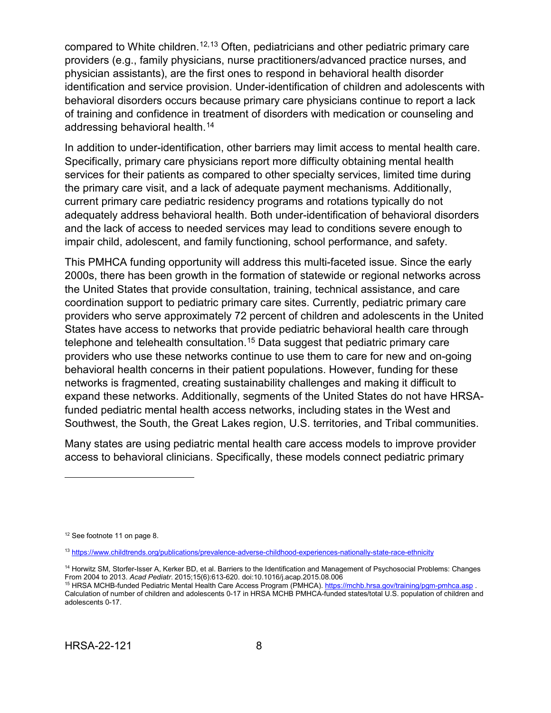compared to White children.<sup>[12,](#page-12-0)[13](#page-12-1)</sup> Often, pediatricians and other pediatric primary care providers (e.g., family physicians, nurse practitioners/advanced practice nurses, and physician assistants), are the first ones to respond in behavioral health disorder identification and service provision. Under-identification of children and adolescents with behavioral disorders occurs because primary care physicians continue to report a lack of training and confidence in treatment of disorders with medication or counseling and addressing behavioral health.[14](#page-12-2)

In addition to under-identification, other barriers may limit access to mental health care. Specifically, primary care physicians report more difficulty obtaining mental health services for their patients as compared to other specialty services, limited time during the primary care visit, and a lack of adequate payment mechanisms. Additionally, current primary care pediatric residency programs and rotations typically do not adequately address behavioral health. Both under-identification of behavioral disorders and the lack of access to needed services may lead to conditions severe enough to impair child, adolescent, and family functioning, school performance, and safety.

This PMHCA funding opportunity will address this multi-faceted issue. Since the early 2000s, there has been growth in the formation of statewide or regional networks across the United States that provide consultation, training, technical assistance, and care coordination support to pediatric primary care sites. Currently, pediatric primary care providers who serve approximately 72 percent of children and adolescents in the United States have access to networks that provide pediatric behavioral health care through telephone and telehealth consultation.[15](#page-12-3) Data suggest that pediatric primary care providers who use these networks continue to use them to care for new and on-going behavioral health concerns in their patient populations. However, funding for these networks is fragmented, creating sustainability challenges and making it difficult to expand these networks. Additionally, segments of the United States do not have HRSAfunded pediatric mental health access networks, including states in the West and Southwest, the South, the Great Lakes region, U.S. territories, and Tribal communities.

Many states are using pediatric mental health care access models to improve provider access to behavioral clinicians. Specifically, these models connect pediatric primary

<span id="page-12-0"></span><sup>&</sup>lt;sup>12</sup> See footnote 11 on page 8.

<span id="page-12-1"></span><sup>13</sup> <https://www.childtrends.org/publications/prevalence-adverse-childhood-experiences-nationally-state-race-ethnicity>

<span id="page-12-2"></span><sup>14</sup> Horwitz SM, Storfer-Isser A, Kerker BD, et al. Barriers to the Identification and Management of Psychosocial Problems: Changes From 2004 to 2013. *Acad Pediatr*. 2015;15(6):613-620. doi:10.1016/j.acap.2015.08.006

<span id="page-12-3"></span><sup>&</sup>lt;sup>15</sup> HRSA MCHB-funded Pediatric Mental Health Care Access Program (PMHCA)[. https://mchb.hrsa.gov/training/pgm-pmhca.asp](https://mchb.hrsa.gov/training/pgm-pmhca.asp) . Calculation of number of children and adolescents 0-17 in HRSA MCHB PMHCA-funded states/total U.S. population of children and adolescents 0-17.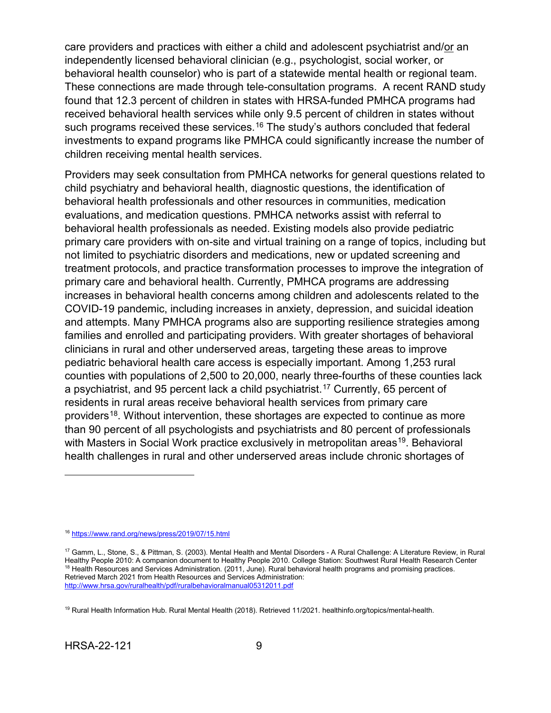care providers and practices with either a child and adolescent psychiatrist and/or an independently licensed behavioral clinician (e.g., psychologist, social worker, or behavioral health counselor) who is part of a statewide mental health or regional team. These connections are made through tele-consultation programs. A recent RAND study found that 12.3 percent of children in states with HRSA-funded PMHCA programs had received behavioral health services while only 9.5 percent of children in states without such programs received these services.<sup>[16](#page-13-0)</sup> The study's authors concluded that federal investments to expand programs like PMHCA could significantly increase the number of children receiving mental health services.

Providers may seek consultation from PMHCA networks for general questions related to child psychiatry and behavioral health, diagnostic questions, the identification of behavioral health professionals and other resources in communities, medication evaluations, and medication questions. PMHCA networks assist with referral to behavioral health professionals as needed. Existing models also provide pediatric primary care providers with on-site and virtual training on a range of topics, including but not limited to psychiatric disorders and medications, new or updated screening and treatment protocols, and practice transformation processes to improve the integration of primary care and behavioral health. Currently, PMHCA programs are addressing increases in behavioral health concerns among children and adolescents related to the COVID-19 pandemic, including increases in anxiety, depression, and suicidal ideation and attempts. Many PMHCA programs also are supporting resilience strategies among families and enrolled and participating providers. With greater shortages of behavioral clinicians in rural and other underserved areas, targeting these areas to improve pediatric behavioral health care access is especially important. Among 1,253 rural counties with populations of 2,500 to 20,000, nearly three-fourths of these counties lack a psychiatrist, and 95 percent lack a child psychiatrist.<sup>[17](#page-13-1)</sup> Currently, 65 percent of residents in rural areas receive behavioral health services from primary care providers<sup>18</sup>. Without intervention, these shortages are expected to continue as more than 90 percent of all psychologists and psychiatrists and 80 percent of professionals with Masters in Social Work practice exclusively in metropolitan areas<sup>19</sup>. Behavioral health challenges in rural and other underserved areas include chronic shortages of

<span id="page-13-0"></span><sup>16</sup> <https://www.rand.org/news/press/2019/07/15.html>

<span id="page-13-2"></span><span id="page-13-1"></span><sup>17</sup> Gamm, L., Stone, S., & Pittman, S. (2003). Mental Health and Mental Disorders - A Rural Challenge: A Literature Review, in Rural Healthy People 2010: A companion document to Healthy People 2010. College Station: Southwest Rural Health Research Center <sup>18</sup> Health Resources and Services Administration. (2011, June). Rural behavioral health programs and promising practices. Retrieved March 2021 from Health Resources and Services Administration: <http://www.hrsa.gov/ruralhealth/pdf/ruralbehavioralmanual05312011.pdf>

<span id="page-13-3"></span><sup>19</sup> Rural Health Information Hub. Rural Mental Health (2018). Retrieved 11/2021. healthinfo.org/topics/mental-health.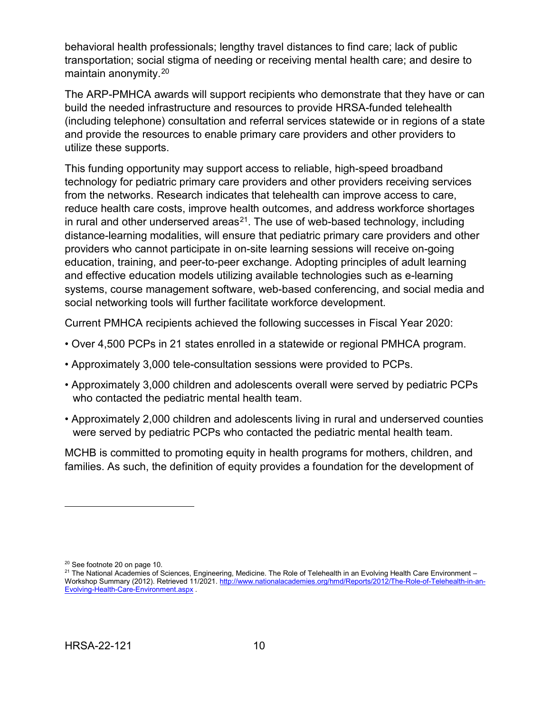behavioral health professionals; lengthy travel distances to find care; lack of public transportation; social stigma of needing or receiving mental health care; and desire to maintain anonymity.[20](#page-14-0)

The ARP-PMHCA awards will support recipients who demonstrate that they have or can build the needed infrastructure and resources to provide HRSA-funded telehealth (including telephone) consultation and referral services statewide or in regions of a state and provide the resources to enable primary care providers and other providers to utilize these supports.

This funding opportunity may support access to reliable, high-speed broadband technology for pediatric primary care providers and other providers receiving services from the networks. Research indicates that telehealth can improve access to care, reduce health care costs, improve health outcomes, and address workforce shortages in rural and other underserved areas<sup>21</sup>. The use of web-based technology, including distance-learning modalities, will ensure that pediatric primary care providers and other providers who cannot participate in on-site learning sessions will receive on-going education, training, and peer-to-peer exchange. Adopting principles of adult learning and effective education models utilizing available technologies such as e-learning systems, course management software, web-based conferencing, and social media and social networking tools will further facilitate workforce development.

Current PMHCA recipients achieved the following successes in Fiscal Year 2020:

- Over 4,500 PCPs in 21 states enrolled in a statewide or regional PMHCA program.
- Approximately 3,000 tele-consultation sessions were provided to PCPs.
- Approximately 3,000 children and adolescents overall were served by pediatric PCPs who contacted the pediatric mental health team.
- Approximately 2,000 children and adolescents living in rural and underserved counties were served by pediatric PCPs who contacted the pediatric mental health team.

MCHB is committed to promoting equity in health programs for mothers, children, and families. As such, the definition of equity provides a foundation for the development of

<span id="page-14-0"></span><sup>20</sup> See footnote 20 on page 10.

<span id="page-14-1"></span><sup>&</sup>lt;sup>21</sup> The National Academies of Sciences, Engineering, Medicine. The Role of Telehealth in an Evolving Health Care Environment Workshop Summary (2012). Retrieved 11/2021. [http://www.nationalacademies.org/hmd/Reports/2012/The-Role-of-Telehealth-in-an-](http://www.nationalacademies.org/hmd/Reports/2012/The-Role-of-Telehealth-in-an-Evolving-Health-Care-Environment.aspx)[Evolving-Health-Care-Environment.aspx](http://www.nationalacademies.org/hmd/Reports/2012/The-Role-of-Telehealth-in-an-Evolving-Health-Care-Environment.aspx) .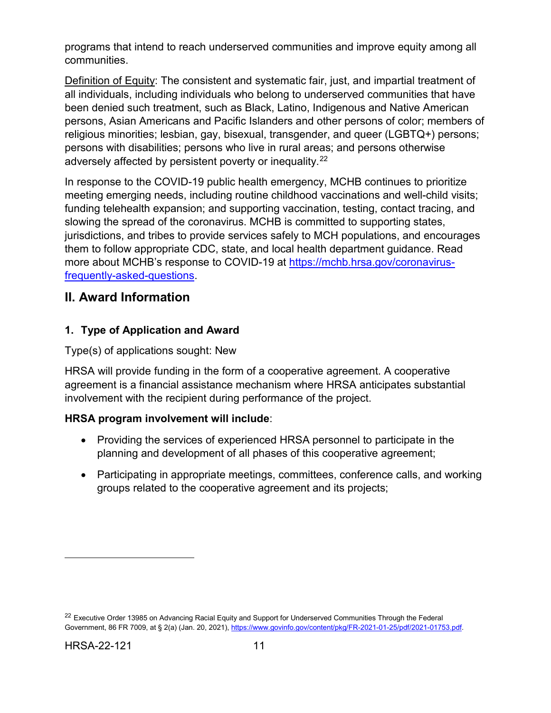programs that intend to reach underserved communities and improve equity among all communities.

Definition of Equity: The consistent and systematic fair, just, and impartial treatment of all individuals, including individuals who belong to underserved communities that have been denied such treatment, such as Black, Latino, Indigenous and Native American persons, Asian Americans and Pacific Islanders and other persons of color; members of religious minorities; lesbian, gay, bisexual, transgender, and queer (LGBTQ+) persons; persons with disabilities; persons who live in rural areas; and persons otherwise adversely affected by persistent poverty or inequality.<sup>[22](#page-15-2)</sup>

In response to the COVID-19 public health emergency, MCHB continues to prioritize meeting emerging needs, including routine childhood vaccinations and well-child visits; funding telehealth expansion; and supporting vaccination, testing, contact tracing, and slowing the spread of the coronavirus. MCHB is committed to supporting states, jurisdictions, and tribes to provide services safely to MCH populations, and encourages them to follow appropriate CDC, state, and local health department guidance. Read more about MCHB's response to COVID-19 at [https://mchb.hrsa.gov/coronavirus](https://mchb.hrsa.gov/coronavirus-frequently-asked-questions)[frequently-asked-questions.](https://mchb.hrsa.gov/coronavirus-frequently-asked-questions)

## <span id="page-15-0"></span>**II. Award Information**

## <span id="page-15-1"></span>**1. Type of Application and Award**

#### Type(s) of applications sought: New

HRSA will provide funding in the form of a cooperative agreement. A cooperative agreement is a financial assistance mechanism where HRSA anticipates substantial involvement with the recipient during performance of the project.

#### **HRSA program involvement will include**:

- Providing the services of experienced HRSA personnel to participate in the planning and development of all phases of this cooperative agreement;
- Participating in appropriate meetings, committees, conference calls, and working groups related to the cooperative agreement and its projects;

<span id="page-15-2"></span><sup>&</sup>lt;sup>22</sup> Executive Order 13985 on Advancing Racial Equity and Support for Underserved Communities Through the Federal Government, 86 FR 7009, at § 2(a) (Jan. 20, 2021), [https://www.govinfo.gov/content/pkg/FR-2021-01-25/pdf/2021-01753.pdf.](https://www.govinfo.gov/content/pkg/FR-2021-01-25/pdf/2021-01753.pdf)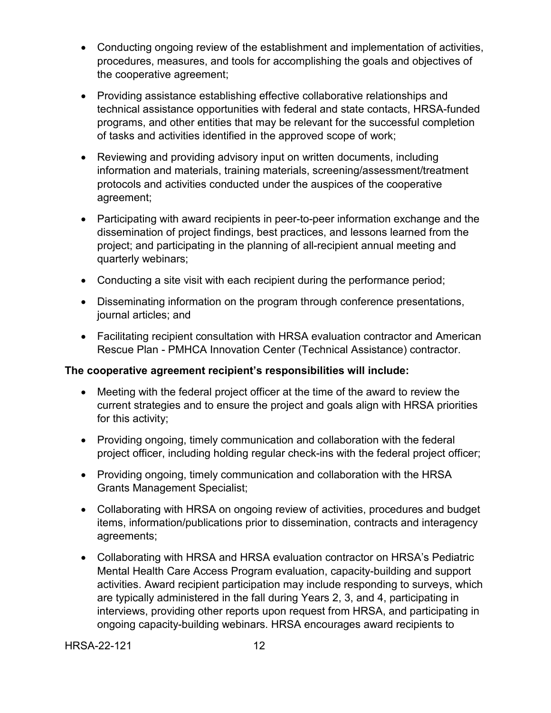- Conducting ongoing review of the establishment and implementation of activities, procedures, measures, and tools for accomplishing the goals and objectives of the cooperative agreement;
- Providing assistance establishing effective collaborative relationships and technical assistance opportunities with federal and state contacts, HRSA-funded programs, and other entities that may be relevant for the successful completion of tasks and activities identified in the approved scope of work;
- Reviewing and providing advisory input on written documents, including information and materials, training materials, screening/assessment/treatment protocols and activities conducted under the auspices of the cooperative agreement;
- Participating with award recipients in peer-to-peer information exchange and the dissemination of project findings, best practices, and lessons learned from the project; and participating in the planning of all-recipient annual meeting and quarterly webinars;
- Conducting a site visit with each recipient during the performance period;
- Disseminating information on the program through conference presentations, journal articles; and
- Facilitating recipient consultation with HRSA evaluation contractor and American Rescue Plan - PMHCA Innovation Center (Technical Assistance) contractor.

#### **The cooperative agreement recipient's responsibilities will include:**

- Meeting with the federal project officer at the time of the award to review the current strategies and to ensure the project and goals align with HRSA priorities for this activity;
- Providing ongoing, timely communication and collaboration with the federal project officer, including holding regular check-ins with the federal project officer;
- Providing ongoing, timely communication and collaboration with the HRSA Grants Management Specialist;
- Collaborating with HRSA on ongoing review of activities, procedures and budget items, information/publications prior to dissemination, contracts and interagency agreements;
- Collaborating with HRSA and HRSA evaluation contractor on HRSA's Pediatric Mental Health Care Access Program evaluation, capacity-building and support activities. Award recipient participation may include responding to surveys, which are typically administered in the fall during Years 2, 3, and 4, participating in interviews, providing other reports upon request from HRSA, and participating in ongoing capacity-building webinars. HRSA encourages award recipients to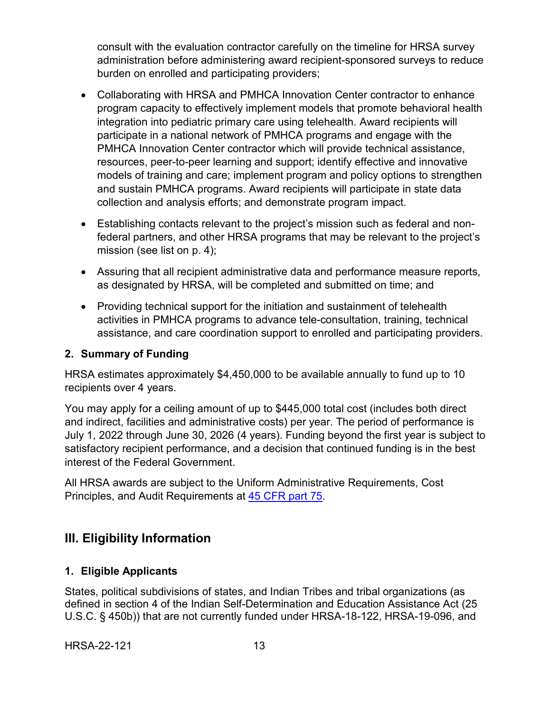consult with the evaluation contractor carefully on the timeline for HRSA survey administration before administering award recipient-sponsored surveys to reduce burden on enrolled and participating providers;

- Collaborating with HRSA and PMHCA Innovation Center contractor to enhance program capacity to effectively implement models that promote behavioral health integration into pediatric primary care using telehealth. Award recipients will participate in a national network of PMHCA programs and engage with the PMHCA Innovation Center contractor which will provide technical assistance, resources, peer-to-peer learning and support; identify effective and innovative models of training and care; implement program and policy options to strengthen and sustain PMHCA programs. Award recipients will participate in state data collection and analysis efforts; and demonstrate program impact.
- Establishing contacts relevant to the project's mission such as federal and nonfederal partners, and other HRSA programs that may be relevant to the project's mission (see list on p. 4);
- Assuring that all recipient administrative data and performance measure reports, as designated by HRSA, will be completed and submitted on time; and
- Providing technical support for the initiation and sustainment of telehealth activities in PMHCA programs to advance tele-consultation, training, technical assistance, and care coordination support to enrolled and participating providers.

#### <span id="page-17-1"></span>**2. Summary of Funding**

HRSA estimates approximately \$4,450,000 to be available annually to fund up to 10 recipients over 4 years.

You may apply for a ceiling amount of up to \$445,000 total cost (includes both direct and indirect, facilities and administrative costs) per year. The period of performance is July 1, 2022 through June 30, 2026 (4 years). Funding beyond the first year is subject to satisfactory recipient performance, and a decision that continued funding is in the best interest of the Federal Government.

All HRSA awards are subject to the Uniform Administrative Requirements, Cost Principles, and Audit Requirements at [45 CFR part 75.](http://www.ecfr.gov/cgi-bin/retrieveECFR?gp=1&SID=4d52364ec83fab994c665943dadf9cf7&ty=HTML&h=L&r=PART&n=pt45.1.75)

## <span id="page-17-2"></span>**III. Eligibility Information**

#### <span id="page-17-0"></span>**1. Eligible Applicants**

States, political subdivisions of states, and Indian Tribes and tribal organizations (as defined in section 4 of the Indian Self-Determination and Education Assistance Act (25 U.S.C. § 450b)) that are not currently funded under HRSA-18-122, HRSA-19-096, and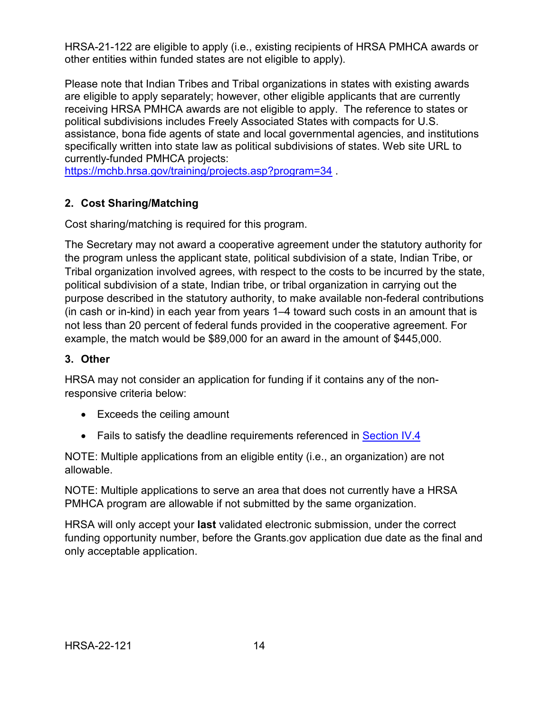HRSA-21-122 are eligible to apply (i.e., existing recipients of HRSA PMHCA awards or other entities within funded states are not eligible to apply).

Please note that Indian Tribes and Tribal organizations in states with existing awards are eligible to apply separately; however, other eligible applicants that are currently receiving HRSA PMHCA awards are not eligible to apply. The reference to states or political subdivisions includes Freely Associated States with compacts for U.S. assistance, bona fide agents of state and local governmental agencies, and institutions specifically written into state law as political subdivisions of states. Web site URL to currently-funded PMHCA projects:

<https://mchb.hrsa.gov/training/projects.asp?program=34>

## <span id="page-18-0"></span>**2. Cost Sharing/Matching**

Cost sharing/matching is required for this program.

The Secretary may not award a cooperative agreement under the statutory authority for the program unless the applicant state, political subdivision of a state, Indian Tribe, or Tribal organization involved agrees, with respect to the costs to be incurred by the state, political subdivision of a state, Indian tribe, or tribal organization in carrying out the purpose described in the statutory authority, to make available non-federal contributions (in cash or in-kind) in each year from years 1–4 toward such costs in an amount that is not less than 20 percent of federal funds provided in the cooperative agreement. For example, the match would be \$89,000 for an award in the amount of \$445,000.

#### <span id="page-18-1"></span>**3. Other**

HRSA may not consider an application for funding if it contains any of the nonresponsive criteria below:

- Exceeds the ceiling amount
- Fails to satisfy the deadline requirements referenced in [Section IV.4](#page-35-0)

NOTE: Multiple applications from an eligible entity (i.e., an organization) are not allowable.

NOTE: Multiple applications to serve an area that does not currently have a HRSA PMHCA program are allowable if not submitted by the same organization.

HRSA will only accept your **last** validated electronic submission, under the correct funding opportunity number, before the Grants.gov application due date as the final and only acceptable application.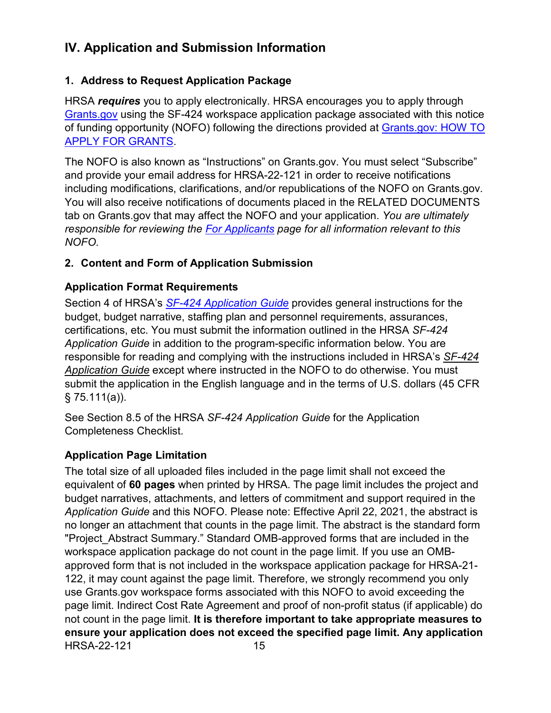# <span id="page-19-0"></span>**IV. Application and Submission Information**

### <span id="page-19-1"></span>**1. Address to Request Application Package**

HRSA *requires* you to apply electronically. HRSA encourages you to apply through [Grants.gov](https://www.grants.gov/) using the SF-424 workspace application package associated with this notice of funding opportunity (NOFO) following the directions provided at [Grants.gov: HOW TO](http://www.grants.gov/applicants/apply-for-grants.html)  [APPLY FOR GRANTS.](http://www.grants.gov/applicants/apply-for-grants.html)

The NOFO is also known as "Instructions" on Grants.gov. You must select "Subscribe" and provide your email address for HRSA-22-121 in order to receive notifications including modifications, clarifications, and/or republications of the NOFO on Grants.gov. You will also receive notifications of documents placed in the RELATED DOCUMENTS tab on Grants.gov that may affect the NOFO and your application. *You are ultimately responsible for reviewing the [For Applicants](https://www.grants.gov/web/grants/applicants.html) page for all information relevant to this NOFO.*

## <span id="page-19-2"></span>**2. Content and Form of Application Submission**

## **Application Format Requirements**

Section 4 of HRSA's *SF-424 [Application](http://www.hrsa.gov/grants/apply/applicationguide/sf424guide.pdf) Guide* provides general instructions for the budget, budget narrative, staffing plan and personnel requirements, assurances, certifications, etc. You must submit the information outlined in the HRSA *SF-424 Application Guide* in addition to the program-specific information below. You are responsible for reading and complying with the instructions included in HRSA's *[SF-424](http://www.hrsa.gov/grants/apply/applicationguide/sf424guide.pdf) [Application Guide](http://www.hrsa.gov/grants/apply/applicationguide/sf424guide.pdf)* except where instructed in the NOFO to do otherwise. You must submit the application in the English language and in the terms of U.S. dollars (45 CFR  $§ 75.11( a )$ .

See Section 8.5 of the HRSA *SF-424 Application Guide* for the Application Completeness Checklist.

## **Application Page Limitation**

HRSA-22-121 15 The total size of all uploaded files included in the page limit shall not exceed the equivalent of **60 pages** when printed by HRSA. The page limit includes the project and budget narratives, attachments, and letters of commitment and support required in the *Application Guide* and this NOFO. Please note: Effective April 22, 2021, the abstract is no longer an attachment that counts in the page limit. The abstract is the standard form "Project Abstract Summary." Standard OMB-approved forms that are included in the workspace application package do not count in the page limit. If you use an OMBapproved form that is not included in the workspace application package for HRSA-21- 122, it may count against the page limit. Therefore, we strongly recommend you only use Grants.gov workspace forms associated with this NOFO to avoid exceeding the page limit. Indirect Cost Rate Agreement and proof of non-profit status (if applicable) do not count in the page limit. **It is therefore important to take appropriate measures to ensure your application does not exceed the specified page limit. Any application**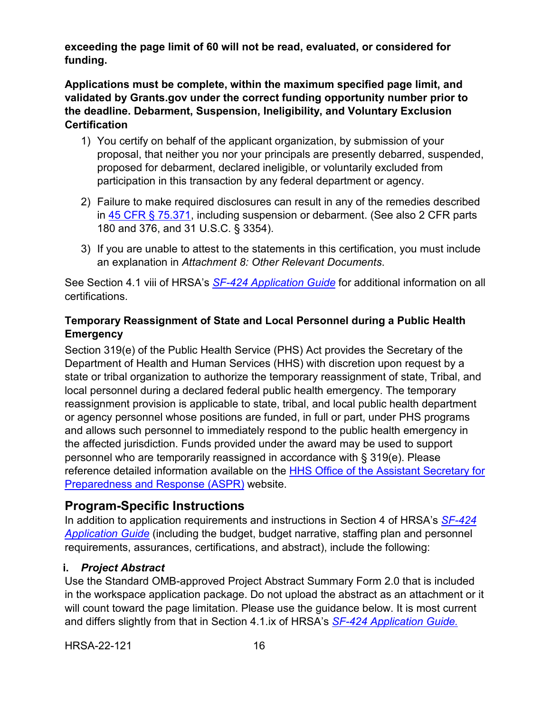**exceeding the page limit of 60 will not be read, evaluated, or considered for funding.** 

**Applications must be complete, within the maximum specified page limit, and validated by Grants.gov under the correct funding opportunity number prior to the deadline. Debarment, Suspension, Ineligibility, and Voluntary Exclusion Certification**

- 1) You certify on behalf of the applicant organization, by submission of your proposal, that neither you nor your principals are presently debarred, suspended, proposed for debarment, declared ineligible, or voluntarily excluded from participation in this transaction by any federal department or agency.
- 2) Failure to make required disclosures can result in any of the remedies described in [45 CFR § 75.371,](https://www.ecfr.gov/cgi-bin/retrieveECFR?gp=1&SID=4d52364ec83fab994c665943dadf9cf7&ty=HTML&h=L&r=PART&n=pt45.1.75#se45.1.75_1371) including suspension or debarment. (See also 2 CFR parts 180 and 376, and 31 U.S.C. § 3354).
- 3) If you are unable to attest to the statements in this certification, you must include an explanation in *Attachment 8: Other Relevant Documents*.

See Section 4.1 viii of HRSA's *SF-424 [Application Guide](http://www.hrsa.gov/grants/apply/applicationguide/sf424guide.pdf)* for additional information on all certifications.

## **Temporary Reassignment of State and Local Personnel during a Public Health Emergency**

Section 319(e) of the Public Health Service (PHS) Act provides the Secretary of the Department of Health and Human Services (HHS) with discretion upon request by a state or tribal organization to authorize the temporary reassignment of state, Tribal, and local personnel during a declared federal public health emergency. The temporary reassignment provision is applicable to state, tribal, and local public health department or agency personnel whose positions are funded, in full or part, under PHS programs and allows such personnel to immediately respond to the public health emergency in the affected jurisdiction. Funds provided under the award may be used to support personnel who are temporarily reassigned in accordance with § 319(e). Please reference detailed information available on the HHS Office of the Assistant Secretary for [Preparedness and Response \(ASPR\)](http://www.phe.gov/Preparedness/legal/pahpa/section201/Pages/default.aspx) website.

## **Program-Specific Instructions**

In addition to application requirements and instructions in Section 4 of HRSA's *[SF-424](http://www.hrsa.gov/grants/apply/applicationguide/sf424guide.pdf) [Application Guide](http://www.hrsa.gov/grants/apply/applicationguide/sf424guide.pdf)* (including the budget, budget narrative, staffing plan and personnel requirements, assurances, certifications, and abstract), include the following:

## <span id="page-20-0"></span>**i.** *Project Abstract*

Use the Standard OMB-approved Project Abstract Summary Form 2.0 that is included in the workspace application package. Do not upload the abstract as an attachment or it will count toward the page limitation. Please use the guidance below. It is most current and differs slightly from that in Section 4.1.ix of HRSA's *SF-424 [Application Guide.](http://www.hrsa.gov/grants/apply/applicationguide/sf424guide.pdf)*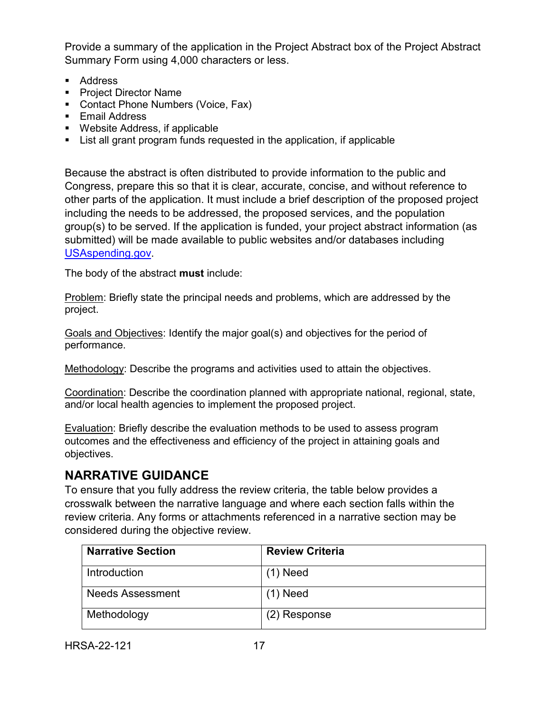Provide a summary of the application in the Project Abstract box of the Project Abstract Summary Form using 4,000 characters or less.

- Address
- Project Director Name
- **Contact Phone Numbers (Voice, Fax)**
- **Email Address**
- Website Address, if applicable
- List all grant program funds requested in the application, if applicable

Because the abstract is often distributed to provide information to the public and Congress, prepare this so that it is clear, accurate, concise, and without reference to other parts of the application. It must include a brief description of the proposed project including the needs to be addressed, the proposed services, and the population group(s) to be served. If the application is funded, your project abstract information (as submitted) will be made available to public websites and/or databases including [USAspending.gov.](http://www.usaspending.gov/)

The body of the abstract **must** include:

Problem: Briefly state the principal needs and problems, which are addressed by the project.

Goals and Objectives: Identify the major goal(s) and objectives for the period of performance.

Methodology: Describe the programs and activities used to attain the objectives.

Coordination: Describe the coordination planned with appropriate national, regional, state, and/or local health agencies to implement the proposed project.

Evaluation: Briefly describe the evaluation methods to be used to assess program outcomes and the effectiveness and efficiency of the project in attaining goals and objectives.

# **NARRATIVE GUIDANCE**

To ensure that you fully address the review criteria, the table below provides a crosswalk between the narrative language and where each section falls within the review criteria. Any forms or attachments referenced in a narrative section may be considered during the objective review.

| <b>Narrative Section</b> | <b>Review Criteria</b> |  |
|--------------------------|------------------------|--|
| Introduction             | $(1)$ Need             |  |
| <b>Needs Assessment</b>  | $(1)$ Need             |  |
| Methodology              | (2) Response           |  |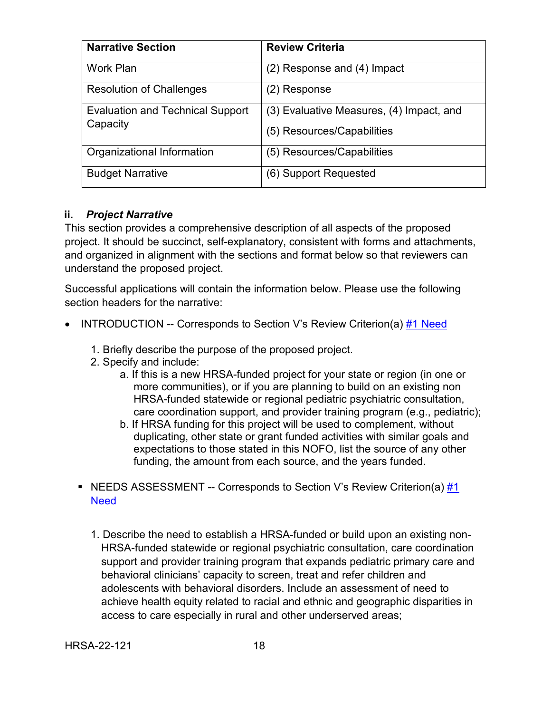| <b>Narrative Section</b>                            | <b>Review Criteria</b>                   |  |
|-----------------------------------------------------|------------------------------------------|--|
| <b>Work Plan</b>                                    | (2) Response and (4) Impact              |  |
| <b>Resolution of Challenges</b>                     | (2) Response                             |  |
| <b>Evaluation and Technical Support</b><br>Capacity | (3) Evaluative Measures, (4) Impact, and |  |
|                                                     | (5) Resources/Capabilities               |  |
| Organizational Information                          | (5) Resources/Capabilities               |  |
| <b>Budget Narrative</b>                             | (6) Support Requested                    |  |

#### <span id="page-22-0"></span>**ii.** *Project Narrative*

This section provides a comprehensive description of all aspects of the proposed project. It should be succinct, self-explanatory, consistent with forms and attachments, and organized in alignment with the sections and format below so that reviewers can understand the proposed project.

Successful applications will contain the information below. Please use the following section headers for the narrative:

- <span id="page-22-2"></span><span id="page-22-1"></span>**INTRODUCTION -- Corresponds to Section V's Review Criterion(a)**  $#1$  **Need** 
	- 1. Briefly describe the purpose of the proposed project.
	- 2. Specify and include:
		- a. If this is a new HRSA-funded project for your state or region (in one or more communities), or if you are planning to build on an existing non HRSA-funded statewide or regional pediatric psychiatric consultation, care coordination support, and provider training program (e.g., pediatric);
		- b. If HRSA funding for this project will be used to complement, without duplicating, other state or grant funded activities with similar goals and expectations to those stated in this NOFO, list the source of any other funding, the amount from each source, and the years funded.
	- **NEEDS ASSESSMENT -- Corresponds to Section V's Review Criterion(a)**  $#1$ [Need](#page-36-2)
		- 1. Describe the need to establish a HRSA-funded or build upon an existing non-HRSA-funded statewide or regional psychiatric consultation, care coordination support and provider training program that expands pediatric primary care and behavioral clinicians' capacity to screen, treat and refer children and adolescents with behavioral disorders. Include an assessment of need to achieve health equity related to racial and ethnic and geographic disparities in access to care especially in rural and other underserved areas;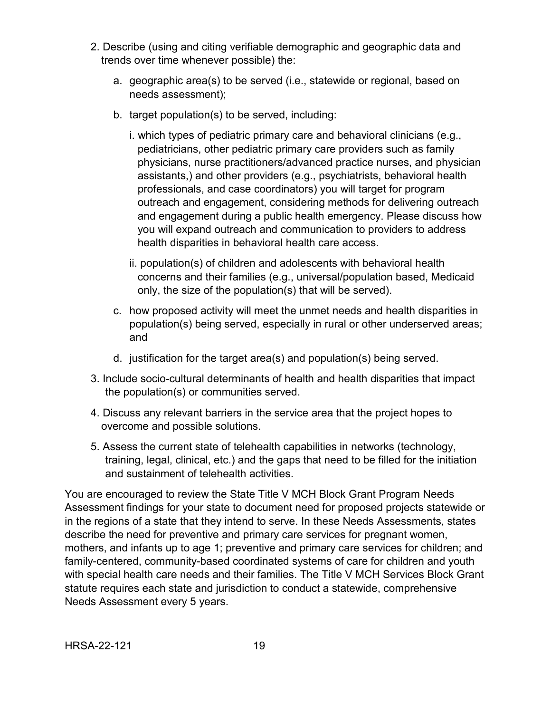- 2. Describe (using and citing verifiable demographic and geographic data and trends over time whenever possible) the:
	- a. geographic area(s) to be served (i.e., statewide or regional, based on needs assessment);
	- b. target population(s) to be served, including:
		- i. which types of pediatric primary care and behavioral clinicians (e.g., pediatricians, other pediatric primary care providers such as family physicians, nurse practitioners/advanced practice nurses, and physician assistants,) and other providers (e.g., psychiatrists, behavioral health professionals, and case coordinators) you will target for program outreach and engagement, considering methods for delivering outreach and engagement during a public health emergency. Please discuss how you will expand outreach and communication to providers to address health disparities in behavioral health care access.
		- ii. population(s) of children and adolescents with behavioral health concerns and their families (e.g., universal/population based, Medicaid only, the size of the population(s) that will be served).
	- c. how proposed activity will meet the unmet needs and health disparities in population(s) being served, especially in rural or other underserved areas; and
	- d. justification for the target area(s) and population(s) being served.
- 3. Include socio-cultural determinants of health and health disparities that impact the population(s) or communities served.
- 4. Discuss any relevant barriers in the service area that the project hopes to overcome and possible solutions.
- 5. Assess the current state of telehealth capabilities in networks (technology, training, legal, clinical, etc.) and the gaps that need to be filled for the initiation and sustainment of telehealth activities.

You are encouraged to review the State Title V MCH Block Grant Program Needs Assessment findings for your state to document need for proposed projects statewide or in the regions of a state that they intend to serve. In these Needs Assessments, states describe the need for preventive and primary care services for pregnant women, mothers, and infants up to age 1; preventive and primary care services for children; and family-centered, community-based coordinated systems of care for children and youth with special health care needs and their families. The Title V MCH Services Block Grant statute requires each state and jurisdiction to conduct a statewide, comprehensive Needs Assessment every 5 years.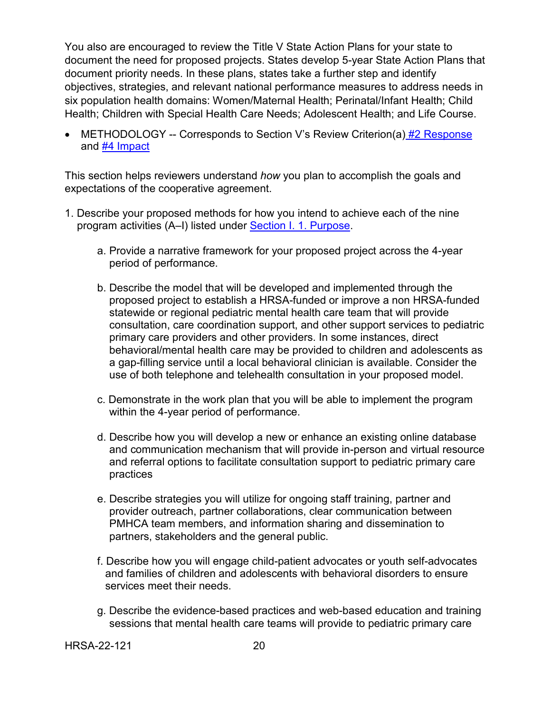You also are encouraged to review the Title V State Action Plans for your state to document the need for proposed projects. States develop 5-year State Action Plans that document priority needs. In these plans, states take a further step and identify objectives, strategies, and relevant national performance measures to address needs in six population health domains: Women/Maternal Health; Perinatal/Infant Health; Child Health; Children with Special Health Care Needs; Adolescent Health; and Life Course.

<span id="page-24-0"></span>• METHODOLOGY -- Corresponds to Section V's Review Criterion(a) [#2 Response](#page-36-3) and **#4 Impact** 

This section helps reviewers understand *how* you plan to accomplish the goals and expectations of the cooperative agreement.

- 1. Describe your proposed methods for how you intend to achieve each of the nine program activities (A–I) listed under [Section I. 1. Purpose.](#page-5-0)
	- a. Provide a narrative framework for your proposed project across the 4-year period of performance.
	- b. Describe the model that will be developed and implemented through the proposed project to establish a HRSA-funded or improve a non HRSA-funded statewide or regional pediatric mental health care team that will provide consultation, care coordination support, and other support services to pediatric primary care providers and other providers. In some instances, direct behavioral/mental health care may be provided to children and adolescents as a gap-filling service until a local behavioral clinician is available. Consider the use of both telephone and telehealth consultation in your proposed model.
	- c. Demonstrate in the work plan that you will be able to implement the program within the 4-year period of performance.
	- d. Describe how you will develop a new or enhance an existing online database and communication mechanism that will provide in-person and virtual resource and referral options to facilitate consultation support to pediatric primary care practices
	- e. Describe strategies you will utilize for ongoing staff training, partner and provider outreach, partner collaborations, clear communication between PMHCA team members, and information sharing and dissemination to partners, stakeholders and the general public.
	- f. Describe how you will engage child-patient advocates or youth self-advocates and families of children and adolescents with behavioral disorders to ensure services meet their needs.
	- g. Describe the evidence-based practices and web-based education and training sessions that mental health care teams will provide to pediatric primary care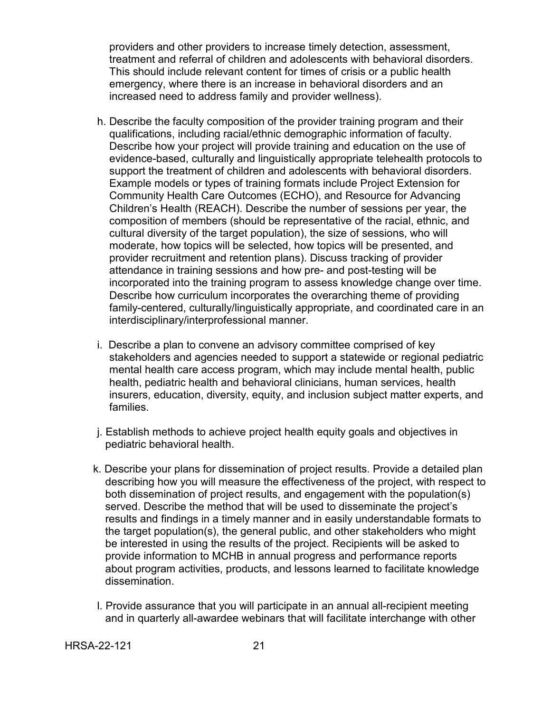providers and other providers to increase timely detection, assessment, treatment and referral of children and adolescents with behavioral disorders. This should include relevant content for times of crisis or a public health emergency, where there is an increase in behavioral disorders and an increased need to address family and provider wellness).

- h. Describe the faculty composition of the provider training program and their qualifications, including racial/ethnic demographic information of faculty. Describe how your project will provide training and education on the use of evidence-based, culturally and linguistically appropriate telehealth protocols to support the treatment of children and adolescents with behavioral disorders. Example models or types of training formats include Project Extension for Community Health Care Outcomes (ECHO), and Resource for Advancing Children's Health (REACH). Describe the number of sessions per year, the composition of members (should be representative of the racial, ethnic, and cultural diversity of the target population), the size of sessions, who will moderate, how topics will be selected, how topics will be presented, and provider recruitment and retention plans). Discuss tracking of provider attendance in training sessions and how pre- and post-testing will be incorporated into the training program to assess knowledge change over time. Describe how curriculum incorporates the overarching theme of providing family-centered, culturally/linguistically appropriate, and coordinated care in an interdisciplinary/interprofessional manner.
- i. Describe a plan to convene an advisory committee comprised of key stakeholders and agencies needed to support a statewide or regional pediatric mental health care access program, which may include mental health, public health, pediatric health and behavioral clinicians, human services, health insurers, education, diversity, equity, and inclusion subject matter experts, and families.
- j. Establish methods to achieve project health equity goals and objectives in pediatric behavioral health.
- k. Describe your plans for dissemination of project results. Provide a detailed plan describing how you will measure the effectiveness of the project, with respect to both dissemination of project results, and engagement with the population(s) served. Describe the method that will be used to disseminate the project's results and findings in a timely manner and in easily understandable formats to the target population(s), the general public, and other stakeholders who might be interested in using the results of the project. Recipients will be asked to provide information to MCHB in annual progress and performance reports about program activities, products, and lessons learned to facilitate knowledge dissemination.
- l. Provide assurance that you will participate in an annual all-recipient meeting and in quarterly all-awardee webinars that will facilitate interchange with other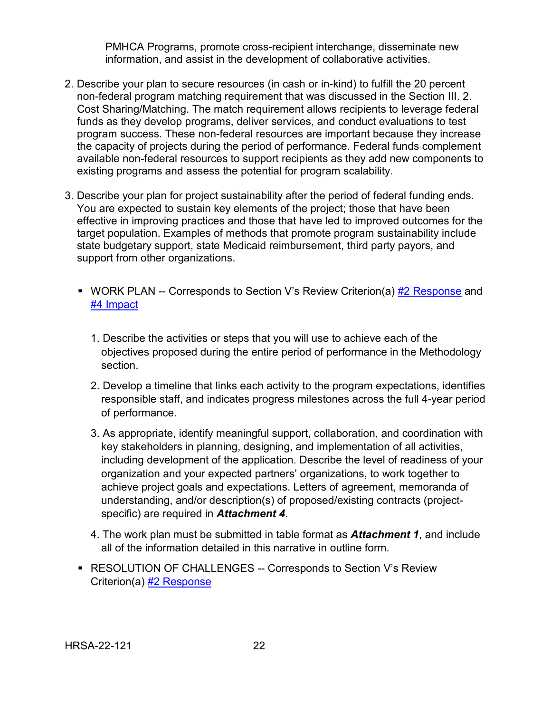PMHCA Programs, promote cross-recipient interchange, disseminate new information, and assist in the development of collaborative activities.

- 2. Describe your plan to secure resources (in cash or in-kind) to fulfill the 20 percent non-federal program matching requirement that was discussed in the Section III. 2. Cost Sharing/Matching. The match requirement allows recipients to leverage federal funds as they develop programs, deliver services, and conduct evaluations to test program success. These non-federal resources are important because they increase the capacity of projects during the period of performance. Federal funds complement available non-federal resources to support recipients as they add new components to existing programs and assess the potential for program scalability.
- <span id="page-26-0"></span>3. Describe your plan for project sustainability after the period of federal funding ends. You are expected to sustain key elements of the project; those that have been effective in improving practices and those that have led to improved outcomes for the target population. Examples of methods that promote program sustainability include state budgetary support, state Medicaid reimbursement, third party payors, and support from other organizations.
	- WORK PLAN -- Corresponds to Section V's Review Criterion(a) [#2 Response](#page-36-3) and [#4 Impact](#page-38-0)
		- 1. Describe the activities or steps that you will use to achieve each of the objectives proposed during the entire period of performance in the Methodology section.
		- 2. Develop a timeline that links each activity to the program expectations, identifies responsible staff, and indicates progress milestones across the full 4-year period of performance.
		- 3. As appropriate, identify meaningful support, collaboration, and coordination with key stakeholders in planning, designing, and implementation of all activities, including development of the application. Describe the level of readiness of your organization and your expected partners' organizations, to work together to achieve project goals and expectations. Letters of agreement, memoranda of understanding, and/or description(s) of proposed/existing contracts (projectspecific) are required in *Attachment 4*.
		- 4. The work plan must be submitted in table format as *Attachment 1*, and include all of the information detailed in this narrative in outline form.
	- RESOLUTION OF CHALLENGES -- Corresponds to Section V's Review Criterion(a) [#2 Response](#page-36-3)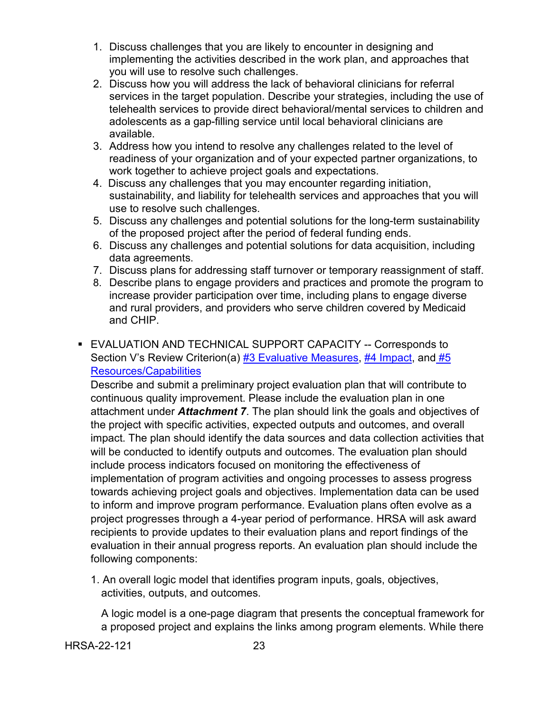- 1. Discuss challenges that you are likely to encounter in designing and implementing the activities described in the work plan, and approaches that you will use to resolve such challenges.
- 2. Discuss how you will address the lack of behavioral clinicians for referral services in the target population. Describe your strategies, including the use of telehealth services to provide direct behavioral/mental services to children and adolescents as a gap-filling service until local behavioral clinicians are available.
- 3. Address how you intend to resolve any challenges related to the level of readiness of your organization and of your expected partner organizations, to work together to achieve project goals and expectations.
- 4. Discuss any challenges that you may encounter regarding initiation, sustainability, and liability for telehealth services and approaches that you will use to resolve such challenges.
- 5. Discuss any challenges and potential solutions for the long-term sustainability of the proposed project after the period of federal funding ends.
- 6. Discuss any challenges and potential solutions for data acquisition, including data agreements.
- 7. Discuss plans for addressing staff turnover or temporary reassignment of staff.
- 8. Describe plans to engage providers and practices and promote the program to increase provider participation over time, including plans to engage diverse and rural providers, and providers who serve children covered by Medicaid and CHIP.
- <span id="page-27-0"></span>**EVALUATION AND TECHNICAL SUPPORT CAPACITY -- Corresponds to** Section V's Review Criterion(a) [#3 Evaluative Measures,](#page-37-0) [#4 Impact,](#page-38-0) and #5 [Resources/Capabilities](#page-38-1)

Describe and submit a preliminary project evaluation plan that will contribute to continuous quality improvement. Please include the evaluation plan in one attachment under *Attachment 7*. The plan should link the goals and objectives of the project with specific activities, expected outputs and outcomes, and overall impact. The plan should identify the data sources and data collection activities that will be conducted to identify outputs and outcomes. The evaluation plan should include process indicators focused on monitoring the effectiveness of implementation of program activities and ongoing processes to assess progress towards achieving project goals and objectives. Implementation data can be used to inform and improve program performance. Evaluation plans often evolve as a project progresses through a 4-year period of performance. HRSA will ask award recipients to provide updates to their evaluation plans and report findings of the evaluation in their annual progress reports. An evaluation plan should include the following components:

1. An overall logic model that identifies program inputs, goals, objectives, activities, outputs, and outcomes.

A logic model is a one-page diagram that presents the conceptual framework for a proposed project and explains the links among program elements. While there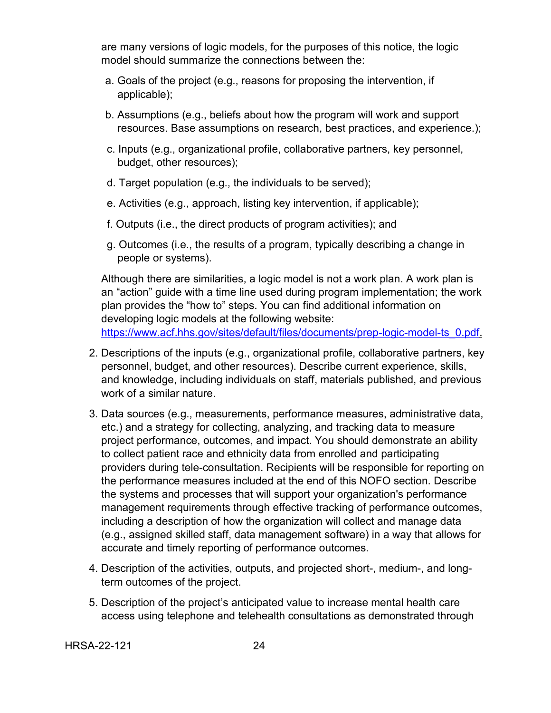are many versions of logic models, for the purposes of this notice, the logic model should summarize the connections between the:

- a. Goals of the project (e.g., reasons for proposing the intervention, if applicable);
- b. Assumptions (e.g., beliefs about how the program will work and support resources. Base assumptions on research, best practices, and experience.);
- c. Inputs (e.g., organizational profile, collaborative partners, key personnel, budget, other resources);
- d. Target population (e.g., the individuals to be served);
- e. Activities (e.g., approach, listing key intervention, if applicable);
- f. Outputs (i.e., the direct products of program activities); and
- g. Outcomes (i.e., the results of a program, typically describing a change in people or systems).

Although there are similarities, a logic model is not a work plan. A work plan is an "action" guide with a time line used during program implementation; the work plan provides the "how to" steps. You can find additional information on developing logic models at the following website: [https://www.acf.hhs.gov/sites/default/files/documents/prep-logic-model-ts\\_0.pdf.](https://www.acf.hhs.gov/sites/default/files/documents/prep-logic-model-ts_0.pdf)

- 2. Descriptions of the inputs (e.g., organizational profile, collaborative partners, key personnel, budget, and other resources). Describe current experience, skills, and knowledge, including individuals on staff, materials published, and previous work of a similar nature.
- 3. Data sources (e.g., measurements, performance measures, administrative data, etc.) and a strategy for collecting, analyzing, and tracking data to measure project performance, outcomes, and impact. You should demonstrate an ability to collect patient race and ethnicity data from enrolled and participating providers during tele-consultation. Recipients will be responsible for reporting on the performance measures included at the end of this NOFO section. Describe the systems and processes that will support your organization's performance management requirements through effective tracking of performance outcomes, including a description of how the organization will collect and manage data (e.g., assigned skilled staff, data management software) in a way that allows for accurate and timely reporting of performance outcomes.
- 4. Description of the activities, outputs, and projected short-, medium-, and longterm outcomes of the project.
- 5. Description of the project's anticipated value to increase mental health care access using telephone and telehealth consultations as demonstrated through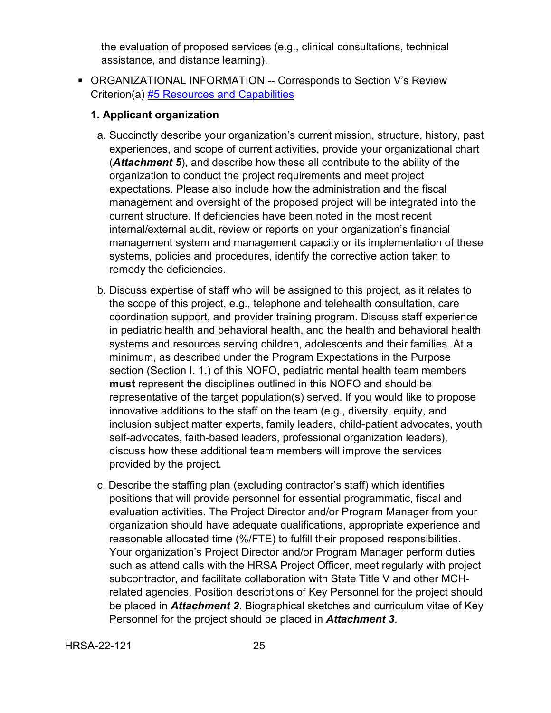the evaluation of proposed services (e.g., clinical consultations, technical assistance, and distance learning).

<span id="page-29-0"></span> ORGANIZATIONAL INFORMATION -- Corresponds to Section V's Review Criterion(a) [#5 Resources and Capabilities](#page-38-1)

### **1. Applicant organization**

- a. Succinctly describe your organization's current mission, structure, history, past experiences, and scope of current activities, provide your organizational chart (*Attachment 5*), and describe how these all contribute to the ability of the organization to conduct the project requirements and meet project expectations. Please also include how the administration and the fiscal management and oversight of the proposed project will be integrated into the current structure. If deficiencies have been noted in the most recent internal/external audit, review or reports on your organization's financial management system and management capacity or its implementation of these systems, policies and procedures, identify the corrective action taken to remedy the deficiencies.
- b. Discuss expertise of staff who will be assigned to this project, as it relates to the scope of this project, e.g., telephone and telehealth consultation, care coordination support, and provider training program. Discuss staff experience in pediatric health and behavioral health, and the health and behavioral health systems and resources serving children, adolescents and their families. At a minimum, as described under the Program Expectations in the Purpose section (Section I. 1.) of this NOFO, pediatric mental health team members **must** represent the disciplines outlined in this NOFO and should be representative of the target population(s) served. If you would like to propose innovative additions to the staff on the team (e.g., diversity, equity, and inclusion subject matter experts, family leaders, child-patient advocates, youth self-advocates, faith-based leaders, professional organization leaders), discuss how these additional team members will improve the services provided by the project.
- c. Describe the staffing plan (excluding contractor's staff) which identifies positions that will provide personnel for essential programmatic, fiscal and evaluation activities. The Project Director and/or Program Manager from your organization should have adequate qualifications, appropriate experience and reasonable allocated time (%/FTE) to fulfill their proposed responsibilities. Your organization's Project Director and/or Program Manager perform duties such as attend calls with the HRSA Project Officer, meet regularly with project subcontractor, and facilitate collaboration with State Title V and other MCHrelated agencies. Position descriptions of Key Personnel for the project should be placed in *Attachment 2*. Biographical sketches and curriculum vitae of Key Personnel for the project should be placed in *Attachment 3*.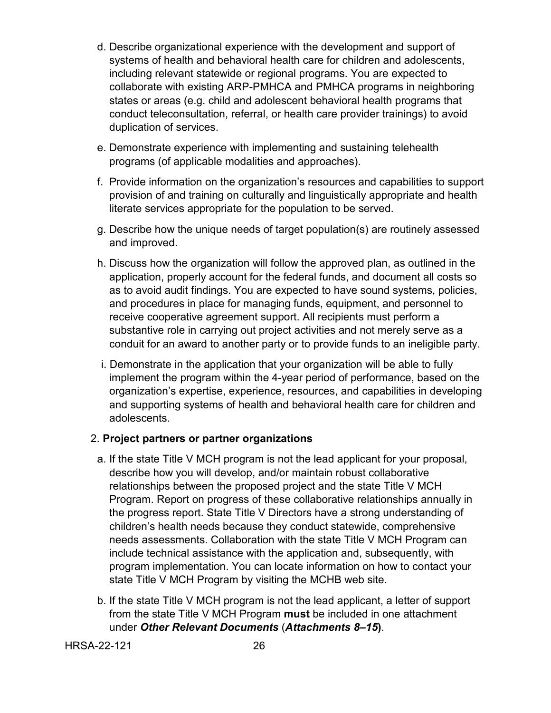- d. Describe organizational experience with the development and support of systems of health and behavioral health care for children and adolescents, including relevant statewide or regional programs. You are expected to collaborate with existing ARP-PMHCA and PMHCA programs in neighboring states or areas (e.g. child and adolescent behavioral health programs that conduct teleconsultation, referral, or health care provider trainings) to avoid duplication of services.
- e. Demonstrate experience with implementing and sustaining telehealth programs (of applicable modalities and approaches).
- f. Provide information on the organization's resources and capabilities to support provision of and training on culturally and linguistically appropriate and health literate services appropriate for the population to be served.
- g. Describe how the unique needs of target population(s) are routinely assessed and improved.
- h. Discuss how the organization will follow the approved plan, as outlined in the application, properly account for the federal funds, and document all costs so as to avoid audit findings. You are expected to have sound systems, policies, and procedures in place for managing funds, equipment, and personnel to receive cooperative agreement support. All recipients must perform a substantive role in carrying out project activities and not merely serve as a conduit for an award to another party or to provide funds to an ineligible party.
- i. Demonstrate in the application that your organization will be able to fully implement the program within the 4-year period of performance, based on the organization's expertise, experience, resources, and capabilities in developing and supporting systems of health and behavioral health care for children and adolescents.

#### 2. **Project partners or partner organizations**

- a. If the state Title V MCH program is not the lead applicant for your proposal, describe how you will develop, and/or maintain robust collaborative relationships between the proposed project and the state Title V MCH Program. Report on progress of these collaborative relationships annually in the progress report. State Title V Directors have a strong understanding of children's health needs because they conduct statewide, comprehensive needs assessments. Collaboration with the state Title V MCH Program can include technical assistance with the application and, subsequently, with program implementation. You can locate information on how to contact your state Title V MCH Program by visiting the MCHB web site.
- b. If the state Title V MCH program is not the lead applicant, a letter of support from the state Title V MCH Program **must** be included in one attachment under *Other Relevant Documents* (*Attachments 8–15***)**.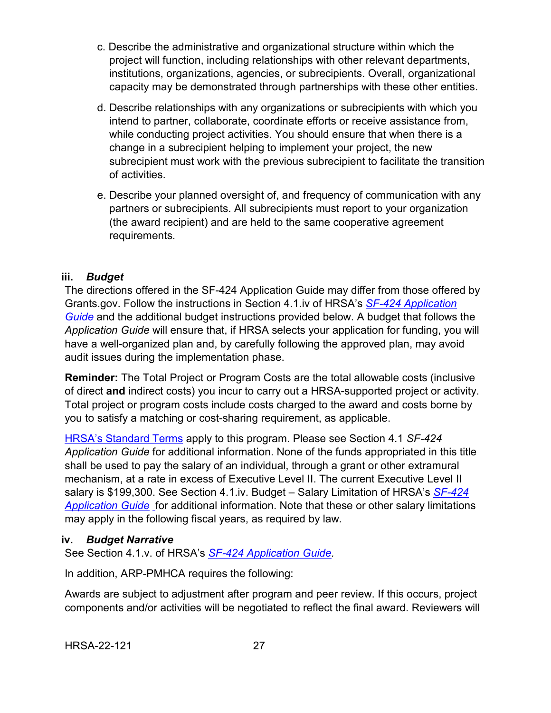- c. Describe the administrative and organizational structure within which the project will function, including relationships with other relevant departments, institutions, organizations, agencies, or subrecipients. Overall, organizational capacity may be demonstrated through partnerships with these other entities.
- d. Describe relationships with any organizations or subrecipients with which you intend to partner, collaborate, coordinate efforts or receive assistance from, while conducting project activities. You should ensure that when there is a change in a subrecipient helping to implement your project, the new subrecipient must work with the previous subrecipient to facilitate the transition of activities.
- e. Describe your planned oversight of, and frequency of communication with any partners or subrecipients. All subrecipients must report to your organization (the award recipient) and are held to the same cooperative agreement requirements.

#### <span id="page-31-0"></span>**iii.** *Budget*

The directions offered in the SF-424 Application Guide may differ from those offered by Grants.gov. Follow the instructions in Section 4.1.iv of HRSA's *SF-424 [Application](http://www.hrsa.gov/grants/apply/applicationguide/sf424guide.pdf)  [Guide](http://www.hrsa.gov/grants/apply/applicationguide/sf424guide.pdf)* and the additional budget instructions provided below. A budget that follows the *Application Guide* will ensure that, if HRSA selects your application for funding, you will have a well-organized plan and, by carefully following the approved plan, may avoid audit issues during the implementation phase.

**Reminder:** The Total Project or Program Costs are the total allowable costs (inclusive of direct **and** indirect costs) you incur to carry out a HRSA-supported project or activity. Total project or program costs include costs charged to the award and costs borne by you to satisfy a matching or cost-sharing requirement, as applicable.

[HRSA's Standard Terms](https://www.hrsa.gov/grants/standard-terms) apply to this program. Please see Section 4.1 *SF-424 Application Guide* for additional information. None of the funds appropriated in this title shall be used to pay the salary of an individual, through a grant or other extramural mechanism, at a rate in excess of Executive Level II. The current Executive Level II salary is \$199,300. See Section 4.1.iv. Budget – Salary Limitation of HRSA's *[SF-424](http://www.hrsa.gov/grants/apply/applicationguide/sf424guide.pdf)  [Application Guide](http://www.hrsa.gov/grants/apply/applicationguide/sf424guide.pdf)* for additional information. Note that these or other salary limitations may apply in the following fiscal years, as required by law.

#### <span id="page-31-1"></span>**iv.** *Budget Narrative*

See Section 4.1.v. of HRSA's *SF-424 [Application Guide.](http://www.hrsa.gov/grants/apply/applicationguide/sf424guide.pdf)*

In addition, ARP-PMHCA requires the following:

Awards are subject to adjustment after program and peer review. If this occurs, project components and/or activities will be negotiated to reflect the final award. Reviewers will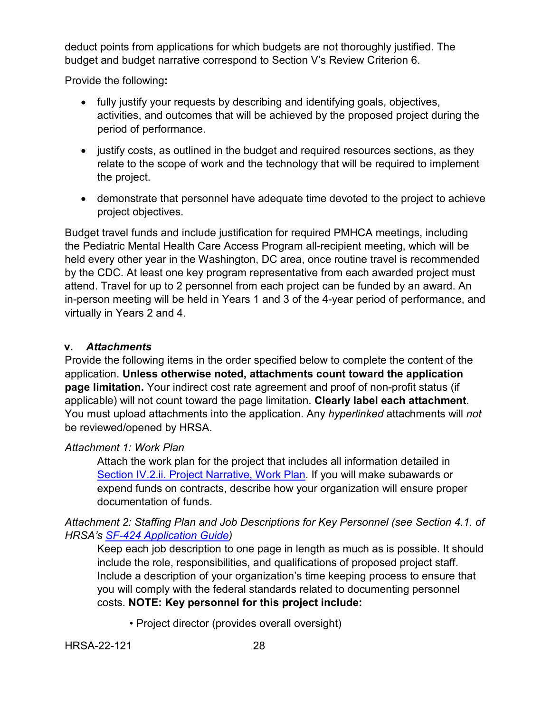deduct points from applications for which budgets are not thoroughly justified. The budget and budget narrative correspond to Section V's Review Criterion 6.

Provide the following**:** 

- fully justify your requests by describing and identifying goals, objectives, activities, and outcomes that will be achieved by the proposed project during the period of performance.
- justify costs, as outlined in the budget and required resources sections, as they relate to the scope of work and the technology that will be required to implement the project.
- demonstrate that personnel have adequate time devoted to the project to achieve project objectives.

Budget travel funds and include justification for required PMHCA meetings, including the Pediatric Mental Health Care Access Program all-recipient meeting, which will be held every other year in the Washington, DC area, once routine travel is recommended by the CDC. At least one key program representative from each awarded project must attend. Travel for up to 2 personnel from each project can be funded by an award. An in-person meeting will be held in Years 1 and 3 of the 4-year period of performance, and virtually in Years 2 and 4.

#### <span id="page-32-0"></span>**v.** *Attachments*

Provide the following items in the order specified below to complete the content of the application. **Unless otherwise noted, attachments count toward the application page limitation.** Your indirect cost rate agreement and proof of non-profit status (if applicable) will not count toward the page limitation. **Clearly label each attachment**. You must upload attachments into the application. Any *hyperlinked* attachments will *not* be reviewed/opened by HRSA.

#### *Attachment 1: Work Plan*

Attach the work plan for the project that includes all information detailed in [Section IV.2.ii. Project Narrative,](#page-22-0) Work Plan. If you will make subawards or expend funds on contracts, describe how your organization will ensure proper documentation of funds.

*Attachment 2: Staffing Plan and Job Descriptions for Key Personnel (see Section 4.1. of HRSA's SF-424 [Application Guide\)](http://www.hrsa.gov/grants/apply/applicationguide/sf424guide.pdf)*

Keep each job description to one page in length as much as is possible. It should include the role, responsibilities, and qualifications of proposed project staff. Include a description of your organization's time keeping process to ensure that you will comply with the federal standards related to documenting personnel costs. **NOTE: Key personnel for this project include:** 

• Project director (provides overall oversight)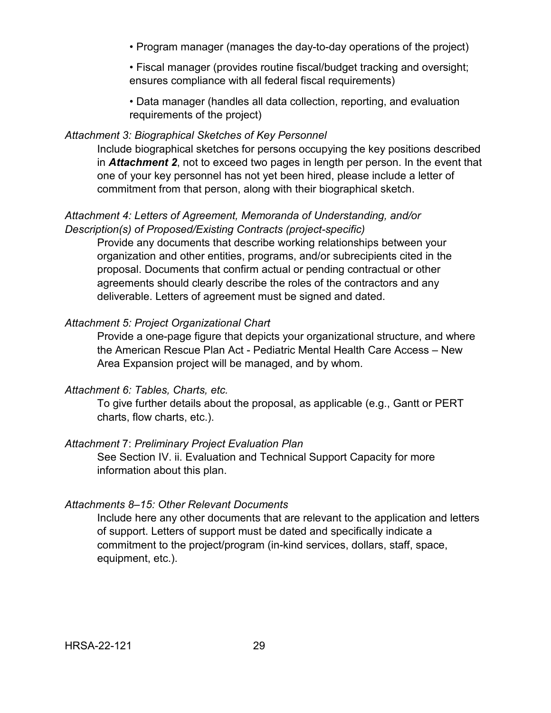• Program manager (manages the day-to-day operations of the project)

• Fiscal manager (provides routine fiscal/budget tracking and oversight; ensures compliance with all federal fiscal requirements)

• Data manager (handles all data collection, reporting, and evaluation requirements of the project)

#### *Attachment 3: Biographical Sketches of Key Personnel*

Include biographical sketches for persons occupying the key positions described in *Attachment 2*, not to exceed two pages in length per person. In the event that one of your key personnel has not yet been hired, please include a letter of commitment from that person, along with their biographical sketch.

#### *Attachment 4: Letters of Agreement, Memoranda of Understanding, and/or Description(s) of Proposed/Existing Contracts (project-specific)*

Provide any documents that describe working relationships between your organization and other entities, programs, and/or subrecipients cited in the proposal. Documents that confirm actual or pending contractual or other agreements should clearly describe the roles of the contractors and any deliverable. Letters of agreement must be signed and dated.

#### *Attachment 5: Project Organizational Chart*

Provide a one-page figure that depicts your organizational structure, and where the American Rescue Plan Act - Pediatric Mental Health Care Access – New Area Expansion project will be managed, and by whom.

#### *Attachment 6: Tables, Charts, etc.*

To give further details about the proposal, as applicable (e.g., Gantt or PERT charts, flow charts, etc.).

#### *Attachment* 7: *Preliminary Project Evaluation Plan*

See Section IV. ii. Evaluation and Technical Support Capacity for more information about this plan.

#### *Attachments 8–15: Other Relevant Documents*

Include here any other documents that are relevant to the application and letters of support. Letters of support must be dated and specifically indicate a commitment to the project/program (in-kind services, dollars, staff, space, equipment, etc.).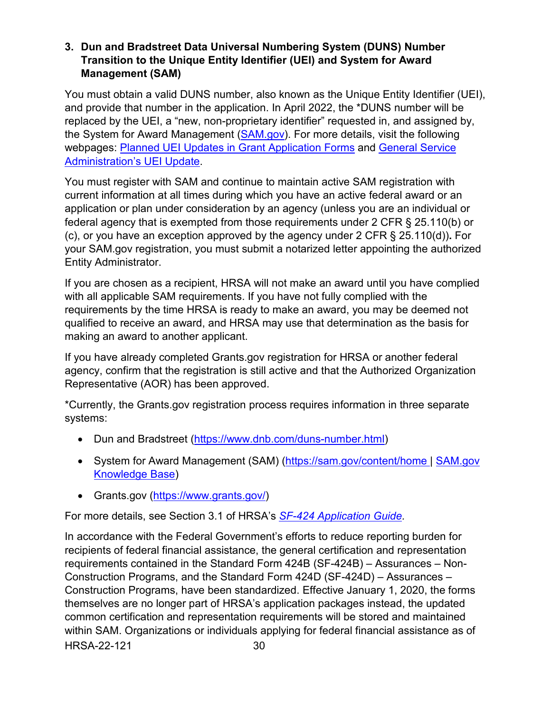### <span id="page-34-0"></span>**3. Dun and Bradstreet Data Universal Numbering System (DUNS) Number Transition to the Unique Entity Identifier (UEI) and System for Award Management (SAM)**

You must obtain a valid DUNS number, also known as the Unique Entity Identifier (UEI), and provide that number in the application. In April 2022, the \*DUNS number will be replaced by the UEI, a "new, non-proprietary identifier" requested in, and assigned by, the System for Award Management [\(SAM.gov\)](https://sam.gov/content/home). For more details, visit the following webpages: [Planned UEI Updates in Grant Application Forms](https://www.grants.gov/web/grants/forms/planned-uei-updates.html) and [General Service](https://www.gsa.gov/entityid)  [Administration's](https://www.gsa.gov/entityid) UEI Update.

You must register with SAM and continue to maintain active SAM registration with current information at all times during which you have an active federal award or an application or plan under consideration by an agency (unless you are an individual or federal agency that is exempted from those requirements under 2 CFR § 25.110(b) or (c), or you have an exception approved by the agency under 2 CFR § 25.110(d))**.** For your SAM.gov registration, you must submit a notarized letter appointing the authorized Entity Administrator.

If you are chosen as a recipient, HRSA will not make an award until you have complied with all applicable SAM requirements. If you have not fully complied with the requirements by the time HRSA is ready to make an award, you may be deemed not qualified to receive an award, and HRSA may use that determination as the basis for making an award to another applicant.

If you have already completed Grants.gov registration for HRSA or another federal agency, confirm that the registration is still active and that the Authorized Organization Representative (AOR) has been approved.

\*Currently, the Grants.gov registration process requires information in three separate systems:

- Dun and Bradstreet [\(https://www.dnb.com/duns-number.html\)](https://www.dnb.com/duns-number.html)
- System for Award Management (SAM) [\(https://sam.gov/content/home](https://sam.gov/content/home) | SAM.gov [Knowledge Base\)](https://www.fsd.gov/gsafsd_sp?id=gsa_kb_view2&kb_id=f66d8e6cdb76d4100d73f81d0f9619c6)
- Grants.gov [\(https://www.grants.gov/\)](https://www.grants.gov/)

For more details, see Section 3.1 of HRSA's *SF-424 [Application Guide.](http://www.hrsa.gov/grants/apply/applicationguide/sf424guide.pdf)*

HRSA-22-121 30 In accordance with the Federal Government's efforts to reduce reporting burden for recipients of federal financial assistance, the general certification and representation requirements contained in the Standard Form 424B (SF-424B) – Assurances – Non-Construction Programs, and the Standard Form 424D (SF-424D) – Assurances – Construction Programs, have been standardized. Effective January 1, 2020, the forms themselves are no longer part of HRSA's application packages instead, the updated common certification and representation requirements will be stored and maintained within SAM. Organizations or individuals applying for federal financial assistance as of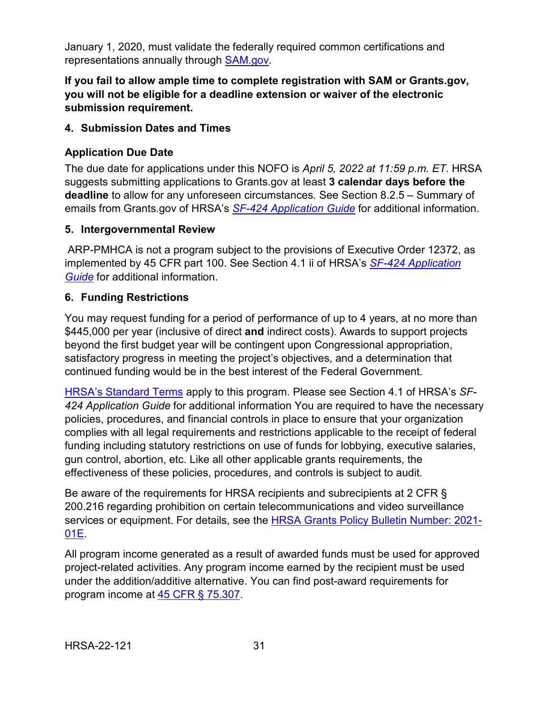January 1, 2020, must validate the federally required common certifications and representations annually through [SAM.gov.](https://sam.gov/content/home)

## **If you fail to allow ample time to complete registration with SAM or Grants.gov, you will not be eligible for a deadline extension or waiver of the electronic submission requirement.**

### <span id="page-35-0"></span>**4. Submission Dates and Times**

## **Application Due Date**

The due date for applications under this NOFO is *April 5, 2022 at 11:59 p.m. ET*. HRSA suggests submitting applications to Grants.gov at least **3 calendar days before the deadline** to allow for any unforeseen circumstances. See Section 8.2.5 – Summary of emails from Grants.gov of HRSA's *[SF-424 Application Guide](http://www.hrsa.gov/grants/apply/applicationguide/sf424guide.pdf)* for additional information.

## <span id="page-35-1"></span>**5. Intergovernmental Review**

ARP-PMHCA is not a program subject to the provisions of Executive Order 12372, as implemented by 45 CFR part 100. See Section 4.1 ii of HRSA's *SF-424 [Application](http://www.hrsa.gov/grants/apply/applicationguide/sf424guide.pdf)  [Guide](http://www.hrsa.gov/grants/apply/applicationguide/sf424guide.pdf)* for additional information.

## <span id="page-35-2"></span>**6. Funding Restrictions**

You may request funding for a period of performance of up to 4 years, at no more than \$445,000 per year (inclusive of direct **and** indirect costs). Awards to support projects beyond the first budget year will be contingent upon Congressional appropriation, satisfactory progress in meeting the project's objectives, and a determination that continued funding would be in the best interest of the Federal Government.

[HRSA's Standard Terms](https://www.hrsa.gov/grants/standard-terms) apply to this program. Please see Section 4.1 of HRSA's *SF-424 Application Guide* for additional information You are required to have the necessary policies, procedures, and financial controls in place to ensure that your organization complies with all legal requirements and restrictions applicable to the receipt of federal funding including statutory restrictions on use of funds for lobbying, executive salaries, gun control, abortion, etc. Like all other applicable grants requirements, the effectiveness of these policies, procedures, and controls is subject to audit.

Be aware of the requirements for HRSA recipients and subrecipients at 2 CFR § 200.216 regarding prohibition on certain telecommunications and video surveillance services or equipment. For details, see the [HRSA Grants Policy Bulletin Number: 2021-](https://www.hrsa.gov/sites/default/files/hrsa/grants/manage/grants-policy-bulletin-2021.pdf) [01E.](https://www.hrsa.gov/sites/default/files/hrsa/grants/manage/grants-policy-bulletin-2021.pdf)

All program income generated as a result of awarded funds must be used for approved project-related activities. Any program income earned by the recipient must be used under the addition/additive alternative. You can find post-award requirements for program income at [45 CFR § 75.307.](https://www.ecfr.gov/cgi-bin/retrieveECFR?gp=1&SID=4d52364ec83fab994c665943dadf9cf7&ty=HTML&h=L&r=PART&n=pt45.1.75)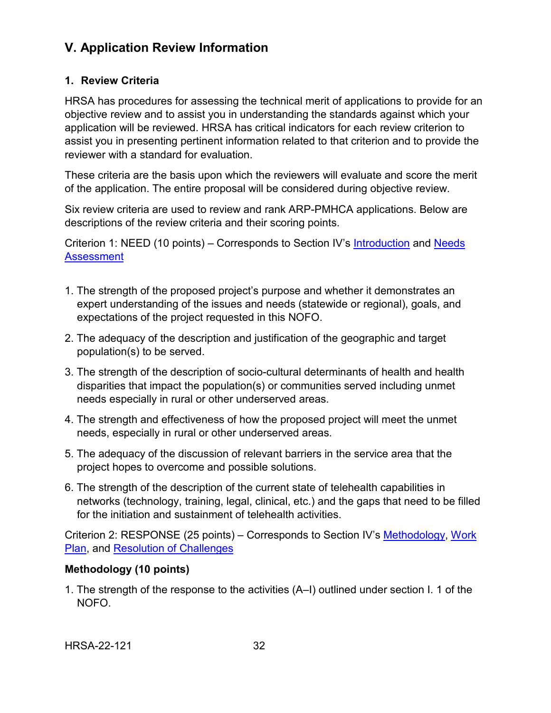# <span id="page-36-0"></span>**V. Application Review Information**

#### <span id="page-36-1"></span>**1. Review Criteria**

HRSA has procedures for assessing the technical merit of applications to provide for an objective review and to assist you in understanding the standards against which your application will be reviewed. HRSA has critical indicators for each review criterion to assist you in presenting pertinent information related to that criterion and to provide the reviewer with a standard for evaluation.

These criteria are the basis upon which the reviewers will evaluate and score the merit of the application. The entire proposal will be considered during objective review.

Six review criteria are used to review and rank ARP-PMHCA applications. Below are descriptions of the review criteria and their scoring points.

<span id="page-36-2"></span>Criterion 1: NEED (10 points) – Corresponds to Section IV's [Introduction](#page-22-1) and [Needs](#page-22-2)  **[Assessment](#page-22-2)** 

- 1. The strength of the proposed project's purpose and whether it demonstrates an expert understanding of the issues and needs (statewide or regional), goals, and expectations of the project requested in this NOFO.
- 2. The adequacy of the description and justification of the geographic and target population(s) to be served.
- 3. The strength of the description of socio-cultural determinants of health and health disparities that impact the population(s) or communities served including unmet needs especially in rural or other underserved areas.
- 4. The strength and effectiveness of how the proposed project will meet the unmet needs, especially in rural or other underserved areas.
- 5. The adequacy of the discussion of relevant barriers in the service area that the project hopes to overcome and possible solutions.
- 6. The strength of the description of the current state of telehealth capabilities in networks (technology, training, legal, clinical, etc.) and the gaps that need to be filled for the initiation and sustainment of telehealth activities.

<span id="page-36-3"></span>Criterion 2: RESPONSE (25 points) – Corresponds to Section IV's [Methodology,](#page-24-0) [Work](#page-26-0)  [Plan,](#page-26-0) and [Resolution of Challenges](#page-37-1)

#### **Methodology (10 points)**

1. The strength of the response to the activities (A–I) outlined under section I. 1 of the NOFO.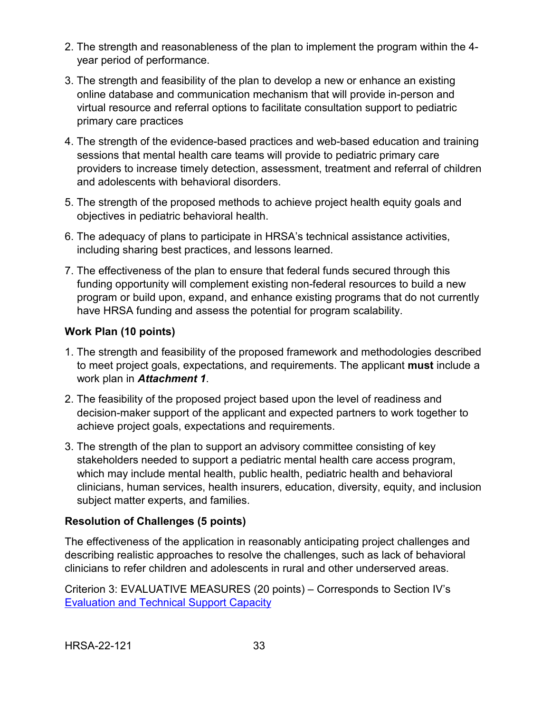- 2. The strength and reasonableness of the plan to implement the program within the 4 year period of performance.
- 3. The strength and feasibility of the plan to develop a new or enhance an existing online database and communication mechanism that will provide in-person and virtual resource and referral options to facilitate consultation support to pediatric primary care practices
- 4. The strength of the evidence-based practices and web-based education and training sessions that mental health care teams will provide to pediatric primary care providers to increase timely detection, assessment, treatment and referral of children and adolescents with behavioral disorders.
- 5. The strength of the proposed methods to achieve project health equity goals and objectives in pediatric behavioral health.
- 6. The adequacy of plans to participate in HRSA's technical assistance activities, including sharing best practices, and lessons learned.
- 7. The effectiveness of the plan to ensure that federal funds secured through this funding opportunity will complement existing non-federal resources to build a new program or build upon, expand, and enhance existing programs that do not currently have HRSA funding and assess the potential for program scalability.

## **Work Plan (10 points)**

- 1. The strength and feasibility of the proposed framework and methodologies described to meet project goals, expectations, and requirements. The applicant **must** include a work plan in *Attachment 1*.
- 2. The feasibility of the proposed project based upon the level of readiness and decision-maker support of the applicant and expected partners to work together to achieve project goals, expectations and requirements.
- 3. The strength of the plan to support an advisory committee consisting of key stakeholders needed to support a pediatric mental health care access program, which may include mental health, public health, pediatric health and behavioral clinicians, human services, health insurers, education, diversity, equity, and inclusion subject matter experts, and families.

#### <span id="page-37-1"></span>**Resolution of Challenges (5 points)**

The effectiveness of the application in reasonably anticipating project challenges and describing realistic approaches to resolve the challenges, such as lack of behavioral clinicians to refer children and adolescents in rural and other underserved areas.

<span id="page-37-0"></span>Criterion 3: EVALUATIVE MEASURES (20 points) – Corresponds to Section IV's [Evaluation and Technical Support Capacity](#page-27-0)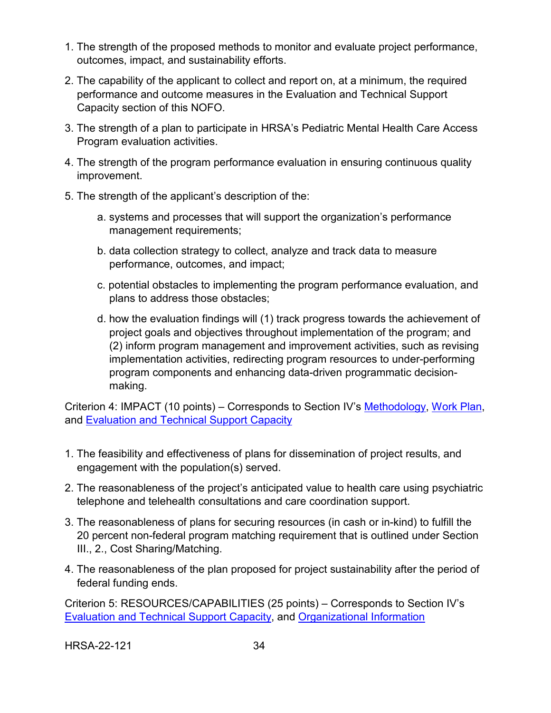- 1. The strength of the proposed methods to monitor and evaluate project performance, outcomes, impact, and sustainability efforts.
- 2. The capability of the applicant to collect and report on, at a minimum, the required performance and outcome measures in the Evaluation and Technical Support Capacity section of this NOFO.
- 3. The strength of a plan to participate in HRSA's Pediatric Mental Health Care Access Program evaluation activities.
- 4. The strength of the program performance evaluation in ensuring continuous quality improvement.
- 5. The strength of the applicant's description of the:
	- a. systems and processes that will support the organization's performance management requirements;
	- b. data collection strategy to collect, analyze and track data to measure performance, outcomes, and impact;
	- c. potential obstacles to implementing the program performance evaluation, and plans to address those obstacles;
	- d. how the evaluation findings will (1) track progress towards the achievement of project goals and objectives throughout implementation of the program; and (2) inform program management and improvement activities, such as revising implementation activities, redirecting program resources to under-performing program components and enhancing data-driven programmatic decisionmaking.

<span id="page-38-0"></span>Criterion 4: IMPACT (10 points) – Corresponds to Section IV's [Methodology,](#page-24-0) [Work Plan,](#page-26-0) and [Evaluation and Technical Support Capacity](#page-27-0)

- 1. The feasibility and effectiveness of plans for dissemination of project results, and engagement with the population(s) served.
- 2. The reasonableness of the project's anticipated value to health care using psychiatric telephone and telehealth consultations and care coordination support.
- 3. The reasonableness of plans for securing resources (in cash or in-kind) to fulfill the 20 percent non-federal program matching requirement that is outlined under Section III., 2., Cost Sharing/Matching.
- 4. The reasonableness of the plan proposed for project sustainability after the period of federal funding ends.

<span id="page-38-1"></span>Criterion 5: RESOURCES/CAPABILITIES (25 points) – Corresponds to Section IV's [Evaluation and Technical Support Capacity,](#page-27-0) and [Organizational Information](#page-29-0)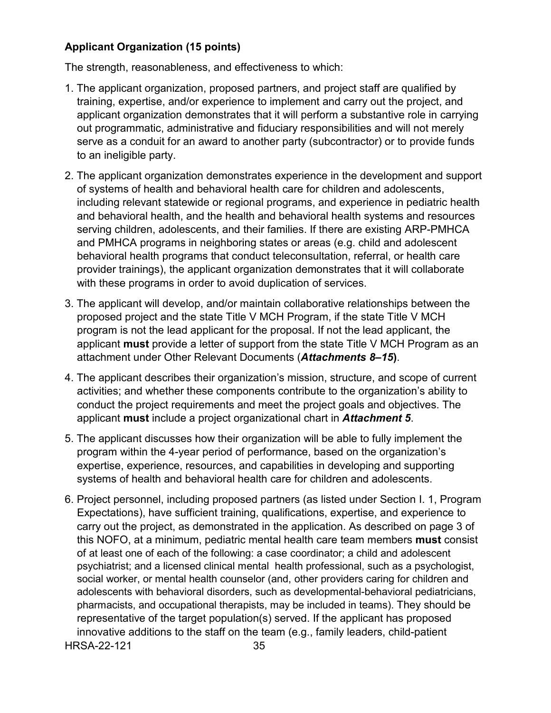## **Applicant Organization (15 points)**

The strength, reasonableness, and effectiveness to which:

- 1. The applicant organization, proposed partners, and project staff are qualified by training, expertise, and/or experience to implement and carry out the project, and applicant organization demonstrates that it will perform a substantive role in carrying out programmatic, administrative and fiduciary responsibilities and will not merely serve as a conduit for an award to another party (subcontractor) or to provide funds to an ineligible party.
- 2. The applicant organization demonstrates experience in the development and support of systems of health and behavioral health care for children and adolescents, including relevant statewide or regional programs, and experience in pediatric health and behavioral health, and the health and behavioral health systems and resources serving children, adolescents, and their families. If there are existing ARP-PMHCA and PMHCA programs in neighboring states or areas (e.g. child and adolescent behavioral health programs that conduct teleconsultation, referral, or health care provider trainings), the applicant organization demonstrates that it will collaborate with these programs in order to avoid duplication of services.
- 3. The applicant will develop, and/or maintain collaborative relationships between the proposed project and the state Title V MCH Program, if the state Title V MCH program is not the lead applicant for the proposal. If not the lead applicant, the applicant **must** provide a letter of support from the state Title V MCH Program as an attachment under Other Relevant Documents (*Attachments 8–15***)**.
- 4. The applicant describes their organization's mission, structure, and scope of current activities; and whether these components contribute to the organization's ability to conduct the project requirements and meet the project goals and objectives. The applicant **must** include a project organizational chart in *Attachment 5*.
- 5. The applicant discusses how their organization will be able to fully implement the program within the 4-year period of performance, based on the organization's expertise, experience, resources, and capabilities in developing and supporting systems of health and behavioral health care for children and adolescents.
- HRSA-22-121 35 6. Project personnel, including proposed partners (as listed under Section I. 1, Program Expectations), have sufficient training, qualifications, expertise, and experience to carry out the project, as demonstrated in the application. As described on page 3 of this NOFO, at a minimum, pediatric mental health care team members **must** consist of at least one of each of the following: a case coordinator; a child and adolescent psychiatrist; and a licensed clinical mental health professional, such as a psychologist, social worker, or mental health counselor (and, other providers caring for children and adolescents with behavioral disorders, such as developmental-behavioral pediatricians, pharmacists, and occupational therapists, may be included in teams). They should be representative of the target population(s) served. If the applicant has proposed innovative additions to the staff on the team (e.g., family leaders, child-patient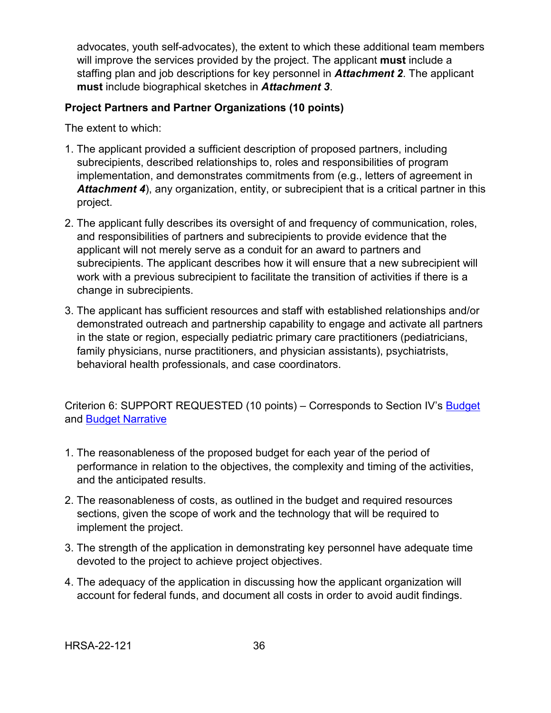advocates, youth self-advocates), the extent to which these additional team members will improve the services provided by the project. The applicant **must** include a staffing plan and job descriptions for key personnel in *Attachment 2*. The applicant **must** include biographical sketches in *Attachment 3*.

### **Project Partners and Partner Organizations (10 points)**

The extent to which:

- 1. The applicant provided a sufficient description of proposed partners, including subrecipients, described relationships to, roles and responsibilities of program implementation, and demonstrates commitments from (e.g., letters of agreement in *Attachment 4*), any organization, entity, or subrecipient that is a critical partner in this project.
- 2. The applicant fully describes its oversight of and frequency of communication, roles, and responsibilities of partners and subrecipients to provide evidence that the applicant will not merely serve as a conduit for an award to partners and subrecipients. The applicant describes how it will ensure that a new subrecipient will work with a previous subrecipient to facilitate the transition of activities if there is a change in subrecipients.
- 3. The applicant has sufficient resources and staff with established relationships and/or demonstrated outreach and partnership capability to engage and activate all partners in the state or region, especially pediatric primary care practitioners (pediatricians, family physicians, nurse practitioners, and physician assistants), psychiatrists, behavioral health professionals, and case coordinators.

Criterion 6: SUPPORT REQUESTED (10 points) – Corresponds to Section IV's [Budget](#page-31-0) and [Budget Narrative](#page-31-1)

- 1. The reasonableness of the proposed budget for each year of the period of performance in relation to the objectives, the complexity and timing of the activities, and the anticipated results.
- 2. The reasonableness of costs, as outlined in the budget and required resources sections, given the scope of work and the technology that will be required to implement the project.
- 3. The strength of the application in demonstrating key personnel have adequate time devoted to the project to achieve project objectives.
- 4. The adequacy of the application in discussing how the applicant organization will account for federal funds, and document all costs in order to avoid audit findings.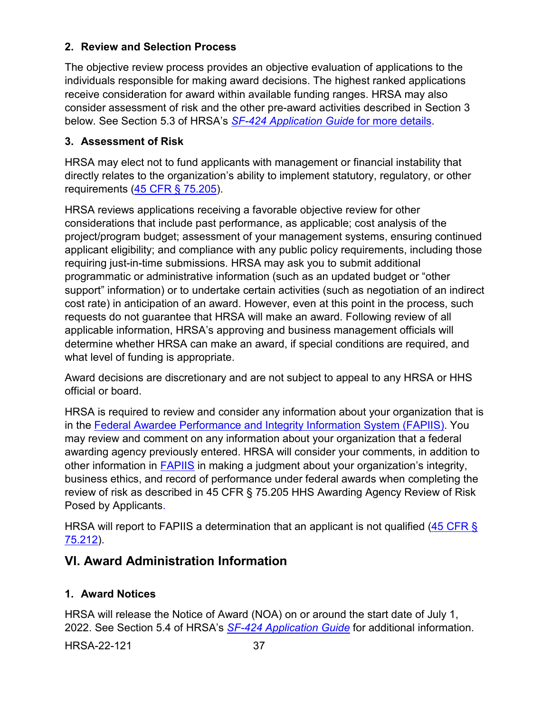## <span id="page-41-0"></span>**2. Review and Selection Process**

The objective review process provides an objective evaluation of applications to the individuals responsible for making award decisions. The highest ranked applications receive consideration for award within available funding ranges. HRSA may also consider assessment of risk and the other pre-award activities described in Section 3 below. See Section 5.3 of HRSA's *SF-424 [Application Guide](http://www.hrsa.gov/grants/apply/applicationguide/sf424guide.pdf)* for more details.

## <span id="page-41-1"></span>**3. Assessment of Risk**

HRSA may elect not to fund applicants with management or financial instability that directly relates to the organization's ability to implement statutory, regulatory, or other requirements [\(45 CFR § 75.205\)](https://www.ecfr.gov/cgi-bin/retrieveECFR?gp=1&SID=4d52364ec83fab994c665943dadf9cf7&ty=HTML&h=L&r=PART&n=pt45.1.75).

HRSA reviews applications receiving a favorable objective review for other considerations that include past performance, as applicable; cost analysis of the project/program budget; assessment of your management systems, ensuring continued applicant eligibility; and compliance with any public policy requirements, including those requiring just-in-time submissions. HRSA may ask you to submit additional programmatic or administrative information (such as an updated budget or "other support" information) or to undertake certain activities (such as negotiation of an indirect cost rate) in anticipation of an award. However, even at this point in the process, such requests do not guarantee that HRSA will make an award. Following review of all applicable information, HRSA's approving and business management officials will determine whether HRSA can make an award, if special conditions are required, and what level of funding is appropriate.

Award decisions are discretionary and are not subject to appeal to any HRSA or HHS official or board.

HRSA is required to review and consider any information about your organization that is in the [Federal Awardee Performance and Integrity Information System \(FAPIIS\).](https://www.fapiis.gov/) You may review and comment on any information about your organization that a federal awarding agency previously entered. HRSA will consider your comments, in addition to other information in [FAPIIS](https://www.fapiis.gov/) in making a judgment about your organization's integrity, business ethics, and record of performance under federal awards when completing the review of risk as described in [45 CFR § 75.205 HHS Awarding Agency Review of Risk](https://www.ecfr.gov/cgi-bin/retrieveECFR?gp=1&SID=4d52364ec83fab994c665943dadf9cf7&ty=HTML&h=L&r=PART&n=pt45.1.75)  [Posed by Applicants.](https://www.ecfr.gov/cgi-bin/retrieveECFR?gp=1&SID=4d52364ec83fab994c665943dadf9cf7&ty=HTML&h=L&r=PART&n=pt45.1.75)

HRSA will report to FAPIIS a determination that an applicant is not qualified (45 CFR § [75.212\)](https://www.ecfr.gov/cgi-bin/retrieveECFR?gp=1&SID=4d52364ec83fab994c665943dadf9cf7&ty=HTML&h=L&r=PART&n=pt45.1.75).

# <span id="page-41-2"></span>**VI. Award Administration Information**

## <span id="page-41-3"></span>**1. Award Notices**

HRSA will release the Notice of Award (NOA) on or around the start date of July 1, 2022. See Section 5.4 of HRSA's *SF-424 [Application Guide](http://www.hrsa.gov/grants/apply/applicationguide/sf424guide.pdf)* for additional information.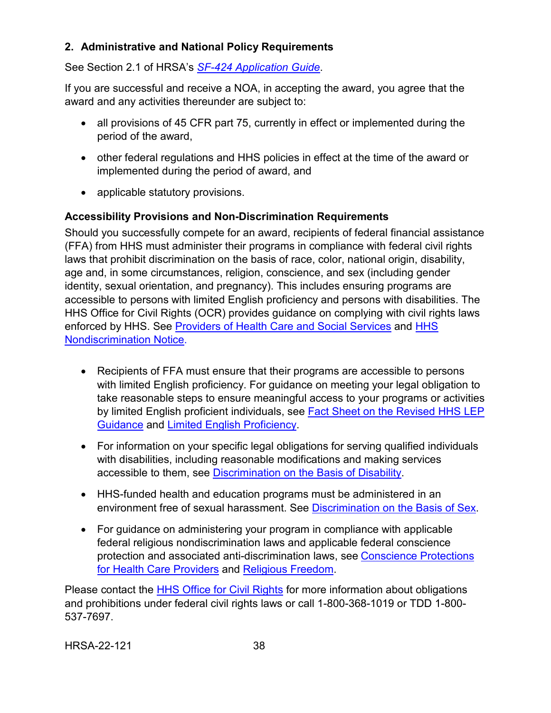## <span id="page-42-0"></span>**2. Administrative and National Policy Requirements**

See Section 2.1 of HRSA's *SF-424 [Application Guide](http://www.hrsa.gov/grants/apply/applicationguide/sf424guide.pdf)*.

If you are successful and receive a NOA, in accepting the award, you agree that the award and any activities thereunder are subject to:

- all provisions of 45 CFR part 75, currently in effect or implemented during the period of the award,
- other federal regulations and HHS policies in effect at the time of the award or implemented during the period of award, and
- applicable statutory provisions.

## **Accessibility Provisions and Non-Discrimination Requirements**

Should you successfully compete for an award, recipients of federal financial assistance (FFA) from HHS must administer their programs in compliance with federal civil rights laws that prohibit discrimination on the basis of race, color, national origin, disability, age and, in some circumstances, religion, conscience, and sex (including gender identity, sexual orientation, and pregnancy). This includes ensuring programs are accessible to persons with limited English proficiency and persons with disabilities. The HHS Office for Civil Rights (OCR) provides guidance on complying with civil rights laws enforced by HHS. See [Providers of Health Care and Social Services](https://www.hhs.gov/civil-rights/for-providers/provider-obligations/index.html) and HHS [Nondiscrimination Notice.](https://www.hhs.gov/civil-rights/for-individuals/nondiscrimination/index.html)

- Recipients of FFA must ensure that their programs are accessible to persons with limited English proficiency. For guidance on meeting your legal obligation to take reasonable steps to ensure meaningful access to your programs or activities by limited English proficient individuals, see Fact Sheet on the Revised HHS LEP [Guidance](https://www.hhs.gov/civil-rights/for-individuals/special-topics/limited-english-proficiency/fact-sheet-guidance/index.html) and [Limited English Proficiency.](https://www.lep.gov/)
- For information on your specific legal obligations for serving qualified individuals with disabilities, including reasonable modifications and making services accessible to them, see [Discrimination on the Basis of Disability.](http://www.hhs.gov/ocr/civilrights/understanding/disability/index.html)
- HHS-funded health and education programs must be administered in an environment free of sexual harassment. See [Discrimination on the Basis of Sex.](https://www.hhs.gov/civil-rights/for-individuals/sex-discrimination/index.html)
- For guidance on administering your program in compliance with applicable federal religious nondiscrimination laws and applicable federal conscience protection and associated anti-discrimination laws, see [Conscience Protections](https://www.hhs.gov/conscience/conscience-protections/index.html)  [for Health Care Providers](https://www.hhs.gov/conscience/conscience-protections/index.html) and [Religious Freedom.](https://www.hhs.gov/conscience/religious-freedom/index.html)

Please contact the [HHS Office for Civil Rights](https://www.hhs.gov/ocr/about-us/contact-us/index.html) for more information about obligations and prohibitions under federal civil rights laws or call 1-800-368-1019 or TDD 1-800- 537-7697.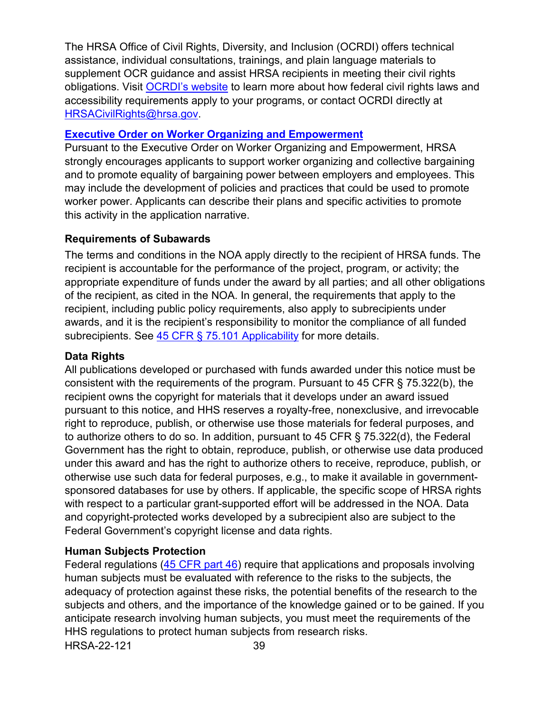The HRSA Office of Civil Rights, Diversity, and Inclusion (OCRDI) offers technical assistance, individual consultations, trainings, and plain language materials to supplement OCR guidance and assist HRSA recipients in meeting their civil rights obligations. Visit [OCRDI's website](https://www.hrsa.gov/about/organization/bureaus/ocrdi#recipients) to learn more about how federal civil rights laws and accessibility requirements apply to your programs, or contact OCRDI directly at [HRSACivilRights@hrsa.gov.](mailto:HRSACivilRights@hrsa.gov)

#### **[Executive Order on Worker Organizing and Empowerment](https://www.whitehouse.gov/briefing-room/presidential-actions/2021/04/26/executive-order-on-worker-organizing-and-empowerment/)**

Pursuant to the Executive Order on Worker Organizing and Empowerment, HRSA strongly encourages applicants to support worker organizing and collective bargaining and to promote equality of bargaining power between employers and employees. This may include the development of policies and practices that could be used to promote worker power. Applicants can describe their plans and specific activities to promote this activity in the application narrative.

## **Requirements of Subawards**

The terms and conditions in the NOA apply directly to the recipient of HRSA funds. The recipient is accountable for the performance of the project, program, or activity; the appropriate expenditure of funds under the award by all parties; and all other obligations of the recipient, as cited in the NOA. In general, the requirements that apply to the recipient, including public policy requirements, also apply to subrecipients under awards, and it is the recipient's responsibility to monitor the compliance of all funded subrecipients. See [45 CFR § 75.101 Applicability](https://www.ecfr.gov/cgi-bin/retrieveECFR?gp=1&SID=4d52364ec83fab994c665943dadf9cf7&ty=HTML&h=L&r=PART&n=pt45.1.75) for more details.

### **Data Rights**

All publications developed or purchased with funds awarded under this notice must be consistent with the requirements of the program. Pursuant to 45 CFR § 75.322(b), the recipient owns the copyright for materials that it develops under an award issued pursuant to this notice, and HHS reserves a royalty-free, nonexclusive, and irrevocable right to reproduce, publish, or otherwise use those materials for federal purposes, and to authorize others to do so. In addition, pursuant to 45 CFR § 75.322(d), the Federal Government has the right to obtain, reproduce, publish, or otherwise use data produced under this award and has the right to authorize others to receive, reproduce, publish, or otherwise use such data for federal purposes, e.g., to make it available in governmentsponsored databases for use by others. If applicable, the specific scope of HRSA rights with respect to a particular grant-supported effort will be addressed in the NOA. Data and copyright-protected works developed by a subrecipient also are subject to the Federal Government's copyright license and data rights.

#### **Human Subjects Protection**

HRSA-22-121 39 Federal regulations [\(45 CFR part 46\)](https://www.hhs.gov/ohrp/regulations-and-policy/regulations/45-cfr-46/index.html) require that applications and proposals involving human subjects must be evaluated with reference to the risks to the subjects, the adequacy of protection against these risks, the potential benefits of the research to the subjects and others, and the importance of the knowledge gained or to be gained. If you anticipate research involving human subjects, you must meet the requirements of the HHS regulations to protect human subjects from research risks.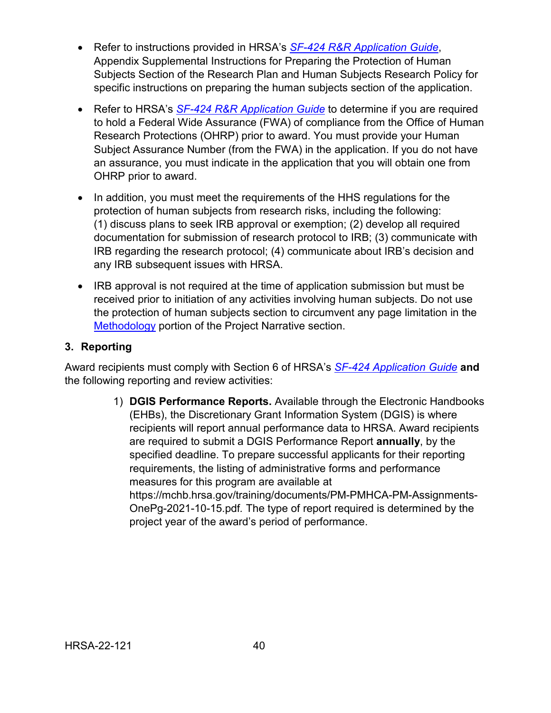- Refer to instructions provided in HRSA's *[SF-424 R&R Application Guide](http://www.hrsa.gov/grants/apply/applicationguide/sf424rrguidev2.pdf)*, Appendix Supplemental Instructions for Preparing the Protection of Human Subjects Section of the Research Plan and Human Subjects Research Policy for specific instructions on preparing the human subjects section of the application.
- Refer to HRSA's **[SF-424 R&R Application Guide](http://www.hrsa.gov/grants/apply/applicationguide/sf424rrguidev2.pdf)** to determine if you are required to hold a Federal Wide Assurance (FWA) of compliance from the Office of Human Research Protections (OHRP) prior to award. You must provide your Human Subject Assurance Number (from the FWA) in the application. If you do not have an assurance, you must indicate in the application that you will obtain one from OHRP prior to award.
- In addition, you must meet the requirements of the HHS regulations for the protection of human subjects from research risks, including the following: (1) discuss plans to seek IRB approval or exemption; (2) develop all required documentation for submission of research protocol to IRB; (3) communicate with IRB regarding the research protocol; (4) communicate about IRB's decision and any IRB subsequent issues with HRSA.
- IRB approval is not required at the time of application submission but must be received prior to initiation of any activities involving human subjects. Do not use the protection of human subjects section to circumvent any page limitation in the [Methodology](#page-24-0) portion of the Project Narrative section.

#### <span id="page-44-0"></span>**3. Reporting**

Award recipients must comply with Section 6 of HRSA's *SF-424 [Application Guide](http://www.hrsa.gov/grants/apply/applicationguide/sf424guide.pdf)* **and** the following reporting and review activities:

> 1) **DGIS Performance Reports.** Available through the Electronic Handbooks (EHBs), the Discretionary Grant Information System (DGIS) is where recipients will report annual performance data to HRSA. Award recipients are required to submit a DGIS Performance Report **annually**, by the specified deadline. To prepare successful applicants for their reporting requirements, the listing of administrative forms and performance measures for this program are available at https://mchb.hrsa.gov/training/documents/PM-PMHCA-PM-Assignments-OnePg-2021-10-15.pdf*.* The type of report required is determined by the project year of the award's period of performance.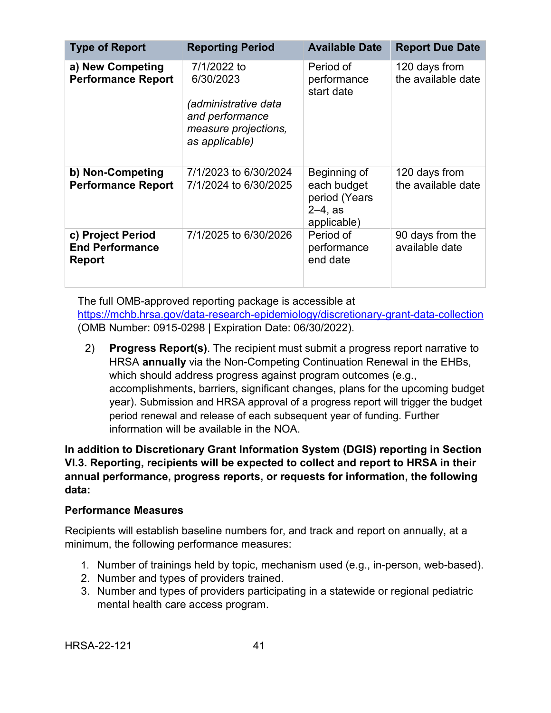| <b>Type of Report</b>                                 | <b>Reporting Period</b>                                                                                              | <b>Available Date</b>                                                       | <b>Report Due Date</b>              |
|-------------------------------------------------------|----------------------------------------------------------------------------------------------------------------------|-----------------------------------------------------------------------------|-------------------------------------|
| a) New Competing<br><b>Performance Report</b>         | 7/1/2022 to<br>6/30/2023<br><i>(administrative data</i><br>and performance<br>measure projections,<br>as applicable) | Period of<br>performance<br>start date                                      | 120 days from<br>the available date |
| b) Non-Competing<br><b>Performance Report</b>         | 7/1/2023 to 6/30/2024<br>7/1/2024 to 6/30/2025                                                                       | Beginning of<br>each budget<br>period (Years<br>$2 - 4$ , as<br>applicable) | 120 days from<br>the available date |
| c) Project Period<br><b>End Performance</b><br>Report | 7/1/2025 to 6/30/2026                                                                                                | Period of<br>performance<br>end date                                        | 90 days from the<br>available date  |

The full OMB-approved reporting package is accessible at <https://mchb.hrsa.gov/data-research-epidemiology/discretionary-grant-data-collection> (OMB Number: 0915-0298 | Expiration Date: 06/30/2022).

2) **Progress Report(s)**. The recipient must submit a progress report narrative to HRSA **annually** via the Non-Competing Continuation Renewal in the EHBs, which should address progress against program outcomes (e.g., accomplishments, barriers, significant changes, plans for the upcoming budget year). Submission and HRSA approval of a progress report will trigger the budget period renewal and release of each subsequent year of funding. Further information will be available in the NOA.

**In addition to Discretionary Grant Information System (DGIS) reporting in Section VI.3. Reporting, recipients will be expected to collect and report to HRSA in their annual performance, progress reports, or requests for information, the following data:** 

#### **Performance Measures**

Recipients will establish baseline numbers for, and track and report on annually, at a minimum, the following performance measures:

- 1. Number of trainings held by topic, mechanism used (e.g., in-person, web-based).
- 2. Number and types of providers trained.
- 3. Number and types of providers participating in a statewide or regional pediatric mental health care access program.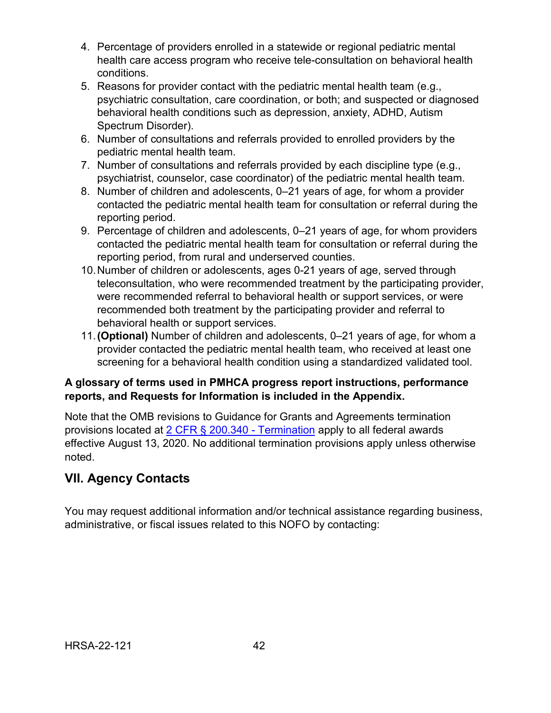- 4. Percentage of providers enrolled in a statewide or regional pediatric mental health care access program who receive tele-consultation on behavioral health conditions.
- 5. Reasons for provider contact with the pediatric mental health team (e.g., psychiatric consultation, care coordination, or both; and suspected or diagnosed behavioral health conditions such as depression, anxiety, ADHD, Autism Spectrum Disorder).
- 6. Number of consultations and referrals provided to enrolled providers by the pediatric mental health team.
- 7. Number of consultations and referrals provided by each discipline type (e.g., psychiatrist, counselor, case coordinator) of the pediatric mental health team.
- 8. Number of children and adolescents, 0–21 years of age, for whom a provider contacted the pediatric mental health team for consultation or referral during the reporting period.
- 9. Percentage of children and adolescents, 0–21 years of age, for whom providers contacted the pediatric mental health team for consultation or referral during the reporting period, from rural and underserved counties.
- 10.Number of children or adolescents, ages 0-21 years of age, served through teleconsultation, who were recommended treatment by the participating provider, were recommended referral to behavioral health or support services, or were recommended both treatment by the participating provider and referral to behavioral health or support services.
- 11.**(Optional)** Number of children and adolescents, 0–21 years of age, for whom a provider contacted the pediatric mental health team, who received at least one screening for a behavioral health condition using a standardized validated tool.

## **A glossary of terms used in PMHCA progress report instructions, performance reports, and Requests for Information is included in the Appendix.**

Note that the OMB revisions to Guidance for Grants and Agreements termination provisions located at [2 CFR § 200.340 -](https://www.ecfr.gov/cgi-bin/text-idx?SID=da67ef9e79256f1b11e99d2ecb083228&mc=true&node=se2.1.200_1340&rgn=div8) Termination apply to all federal awards effective August 13, 2020. No additional termination provisions apply unless otherwise noted.

# <span id="page-46-0"></span>**VII. Agency Contacts**

You may request additional information and/or technical assistance regarding business, administrative, or fiscal issues related to this NOFO by contacting: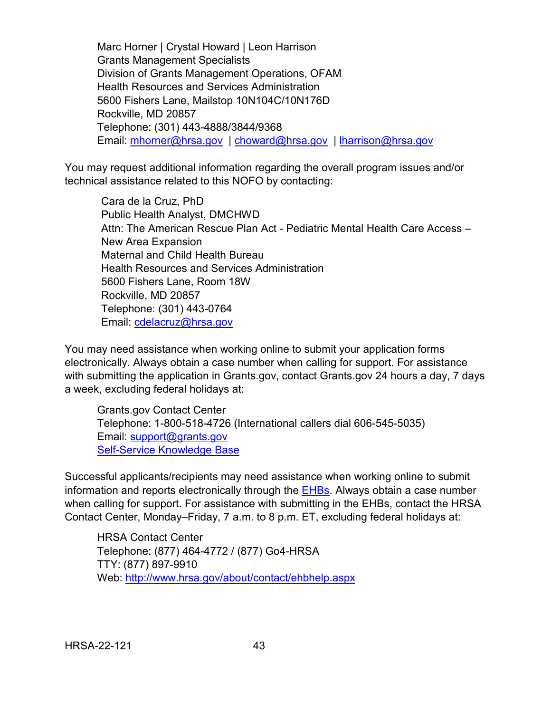Marc Horner | Crystal Howard | Leon Harrison Grants Management Specialists Division of Grants Management Operations, OFAM Health Resources and Services Administration 5600 Fishers Lane, Mailstop 10N104C/10N176D Rockville, MD 20857 Telephone: (301) 443-4888/3844/9368 Email: [mhorner@hrsa.gov](mailto:mhorner@hrsa.gov) | [choward@hrsa.gov](mailto:choward@hrsa.gov) | [lharrison@hrsa.gov](mailto:lharrison@hrsa.gov)

You may request additional information regarding the overall program issues and/or technical assistance related to this NOFO by contacting:

Cara de la Cruz, PhD Public Health Analyst, DMCHWD Attn: The American Rescue Plan Act - Pediatric Mental Health Care Access – New Area Expansion Maternal and Child Health Bureau Health Resources and Services Administration 5600 Fishers Lane, Room 18W Rockville, MD 20857 Telephone: (301) 443-0764 Email: [cdelacruz@hrsa.gov](mailto:cdelacruz@hrsa.gov)

You may need assistance when working online to submit your application forms electronically. Always obtain a case number when calling for support. For assistance with submitting the application in Grants.gov, contact Grants.gov 24 hours a day, 7 days a week, excluding federal holidays at:

Grants.gov Contact Center Telephone: 1-800-518-4726 (International callers dial 606-545-5035) Email: [support@grants.gov](mailto:support@grants.gov) [Self-Service Knowledge Base](https://gditshared.servicenowservices.com/hhs_grants?pt=Grants)

Successful applicants/recipients may need assistance when working online to submit information and reports electronically through the [EHBs.](https://grants.hrsa.gov/2010/WebEPSExternal/Interface/Common/AccessControl/Login.aspx) Always obtain a case number when calling for support. For assistance with submitting in the EHBs, contact the HRSA Contact Center, Monday–Friday, 7 a.m. to 8 p.m. ET, excluding federal holidays at:

HRSA Contact Center Telephone: (877) 464-4772 / (877) Go4-HRSA TTY: (877) 897-9910 Web: <http://www.hrsa.gov/about/contact/ehbhelp.aspx>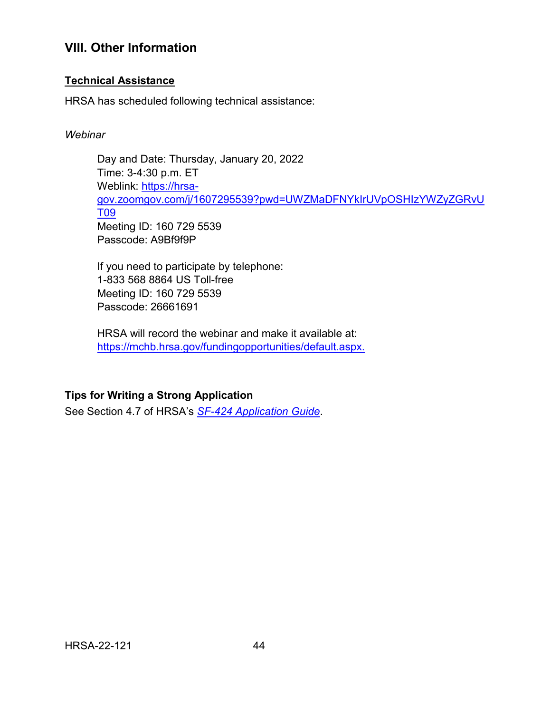## <span id="page-48-0"></span>**VIII. Other Information**

### **Technical Assistance**

HRSA has scheduled following technical assistance:

#### *Webinar*

Day and Date: Thursday, January 20, 2022 Time: 3-4:30 p.m. ET Weblink: [https://hrsa](https://hrsa-gov.zoomgov.com/j/1607295539?pwd=UWZMaDFNYkIrUVpOSHIzYWZyZGRvUT09)[gov.zoomgov.com/j/1607295539?pwd=UWZMaDFNYkIrUVpOSHIzYWZyZGRvU](https://hrsa-gov.zoomgov.com/j/1607295539?pwd=UWZMaDFNYkIrUVpOSHIzYWZyZGRvUT09) [T09](https://hrsa-gov.zoomgov.com/j/1607295539?pwd=UWZMaDFNYkIrUVpOSHIzYWZyZGRvUT09) Meeting ID: 160 729 5539 Passcode: A9Bf9f9P

If you need to participate by telephone: 1-833 568 8864 US Toll-free Meeting ID: 160 729 5539 Passcode: 26661691

HRSA will record the webinar and make it available at: [https://mchb.hrsa.gov/fundingopportunities/default.aspx.](https://mchb.hrsa.gov/fundingopportunities/default.aspx)

## **Tips for Writing a Strong Application**

See Section 4.7 of HRSA's *SF-424 [Application Guide](http://www.hrsa.gov/grants/apply/applicationguide/sf424guide.pdf)*.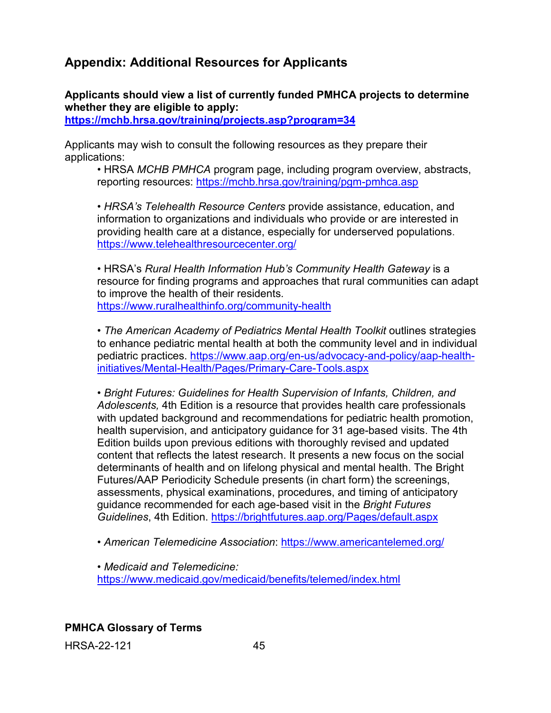# <span id="page-49-0"></span>**Appendix: Additional Resources for Applicants**

**Applicants should view a list of currently funded PMHCA projects to determine whether they are eligible to apply:** 

**<https://mchb.hrsa.gov/training/projects.asp?program=34>**

Applicants may wish to consult the following resources as they prepare their applications:

• HRSA *MCHB PMHCA* program page, including program overview, abstracts, reporting resources:<https://mchb.hrsa.gov/training/pgm-pmhca.asp>

• *HRSA's Telehealth Resource Centers* provide assistance, education, and information to organizations and individuals who provide or are interested in providing health care at a distance, especially for underserved populations. <https://www.telehealthresourcecenter.org/>

• HRSA's *Rural Health Information Hub's Community Health Gateway* is a resource for finding programs and approaches that rural communities can adapt to improve the health of their residents. <https://www.ruralhealthinfo.org/community-health>

• *The American Academy of Pediatrics Mental Health Toolkit* outlines strategies to enhance pediatric mental health at both the community level and in individual pediatric practices. [https://www.aap.org/en-us/advocacy-and-policy/aap-health](https://www.aap.org/en-us/advocacy-and-policy/aap-health-initiatives/Mental-Health/Pages/Primary-Care-Tools.aspx)[initiatives/Mental-Health/Pages/Primary-Care-Tools.aspx](https://www.aap.org/en-us/advocacy-and-policy/aap-health-initiatives/Mental-Health/Pages/Primary-Care-Tools.aspx) 

• *Bright Futures: Guidelines for Health Supervision of Infants, Children, and Adolescents,* 4th Edition is a resource that provides health care professionals with updated background and recommendations for pediatric health promotion, health supervision, and anticipatory guidance for 31 age-based visits. The 4th Edition builds upon previous editions with thoroughly revised and updated content that reflects the latest research. It presents a new focus on the social determinants of health and on lifelong physical and mental health. The Bright Futures/AAP Periodicity Schedule presents (in chart form) the screenings, assessments, physical examinations, procedures, and timing of anticipatory guidance recommended for each age-based visit in the *Bright Futures Guidelines*, 4th Edition.<https://brightfutures.aap.org/Pages/default.aspx>

• *American Telemedicine Association*:<https://www.americantelemed.org/>

• *Medicaid and Telemedicine:*  <https://www.medicaid.gov/medicaid/benefits/telemed/index.html>

**PMHCA Glossary of Terms**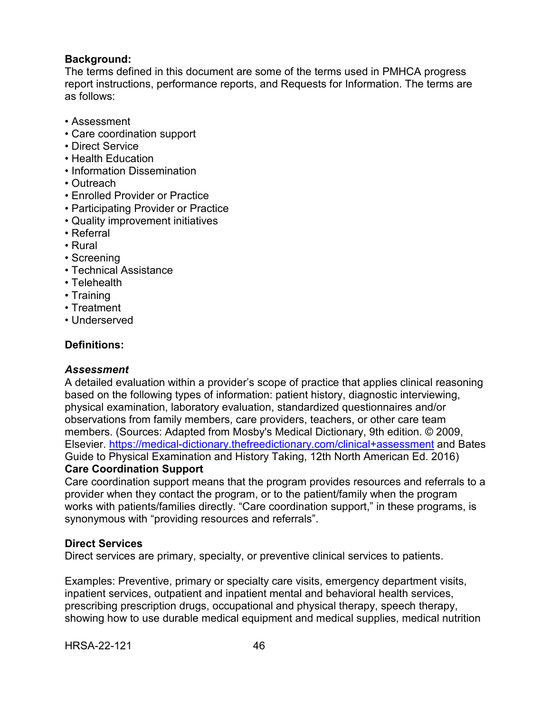#### **Background:**

The terms defined in this document are some of the terms used in PMHCA progress report instructions, performance reports, and Requests for Information. The terms are as follows:

- Assessment
- Care coordination support
- Direct Service
- Health Education
- Information Dissemination
- Outreach
- Enrolled Provider or Practice
- Participating Provider or Practice
- Quality improvement initiatives
- Referral
- Rural
- Screening
- Technical Assistance
- Telehealth
- Training
- Treatment
- Underserved

#### **Definitions:**

#### *Assessment*

A detailed evaluation within a provider's scope of practice that applies clinical reasoning based on the following types of information: patient history, diagnostic interviewing, physical examination, laboratory evaluation, standardized questionnaires and/or observations from family members, care providers, teachers, or other care team members. (Sources: Adapted from Mosby's Medical Dictionary, 9th edition. © 2009, Elsevier.<https://medical-dictionary.thefreedictionary.com/clinical+assessment> and Bates Guide to Physical Examination and History Taking, 12th North American Ed. 2016) **Care Coordination Support**

Care coordination support means that the program provides resources and referrals to a provider when they contact the program, or to the patient/family when the program works with patients/families directly. "Care coordination support," in these programs, is synonymous with "providing resources and referrals".

#### **Direct Services**

Direct services are primary, specialty, or preventive clinical services to patients.

Examples: Preventive, primary or specialty care visits, emergency department visits, inpatient services, outpatient and inpatient mental and behavioral health services, prescribing prescription drugs, occupational and physical therapy, speech therapy, showing how to use durable medical equipment and medical supplies, medical nutrition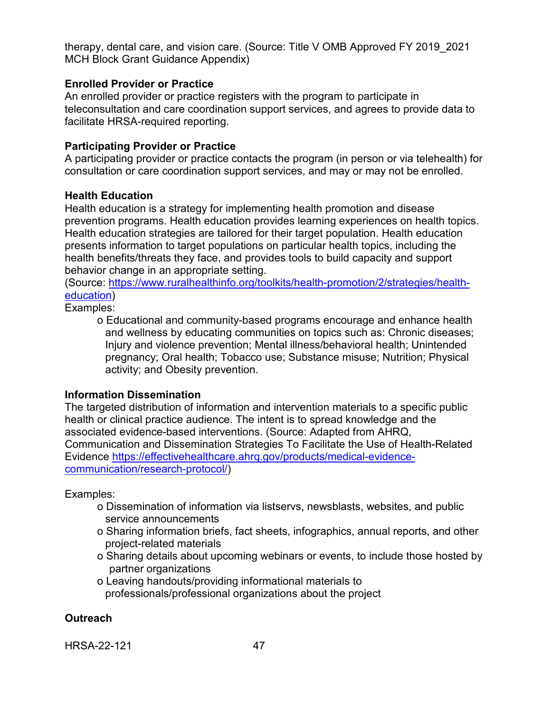therapy, dental care, and vision care. (Source: Title V OMB Approved FY 2019\_2021 MCH Block Grant Guidance Appendix)

#### **Enrolled Provider or Practice**

An enrolled provider or practice registers with the program to participate in teleconsultation and care coordination support services, and agrees to provide data to facilitate HRSA-required reporting.

#### **Participating Provider or Practice**

A participating provider or practice contacts the program (in person or via telehealth) for consultation or care coordination support services, and may or may not be enrolled.

#### **Health Education**

Health education is a strategy for implementing health promotion and disease prevention programs. Health education provides learning experiences on health topics. Health education strategies are tailored for their target population. Health education presents information to target populations on particular health topics, including the health benefits/threats they face, and provides tools to build capacity and support behavior change in an appropriate setting.

(Source: [https://www.ruralhealthinfo.org/toolkits/health-promotion/2/strategies/health](https://www.ruralhealthinfo.org/toolkits/health-promotion/2/strategies/health-education)[education\)](https://www.ruralhealthinfo.org/toolkits/health-promotion/2/strategies/health-education)

Examples:

o Educational and community-based programs encourage and enhance health and wellness by educating communities on topics such as: Chronic diseases; Injury and violence prevention; Mental illness/behavioral health; Unintended pregnancy; Oral health; Tobacco use; Substance misuse; Nutrition; Physical activity; and Obesity prevention.

#### **Information Dissemination**

The targeted distribution of information and intervention materials to a specific public health or clinical practice audience. The intent is to spread knowledge and the associated evidence-based interventions. (Source: Adapted from AHRQ, Communication and Dissemination Strategies To Facilitate the Use of Health-Related Evidence [https://effectivehealthcare.ahrq.gov/products/medical-evidence](https://effectivehealthcare.ahrq.gov/products/medical-evidence-communication/research-protocol/)[communication/research-protocol/\)](https://effectivehealthcare.ahrq.gov/products/medical-evidence-communication/research-protocol/)

Examples:

- o Dissemination of information via listservs, newsblasts, websites, and public service announcements
- o Sharing information briefs, fact sheets, infographics, annual reports, and other project-related materials
- o Sharing details about upcoming webinars or events, to include those hosted by partner organizations
- o Leaving handouts/providing informational materials to professionals/professional organizations about the project

#### **Outreach**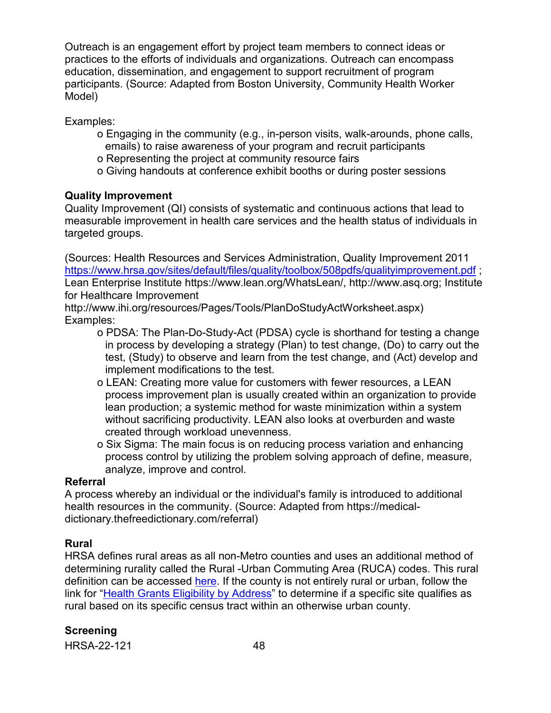Outreach is an engagement effort by project team members to connect ideas or practices to the efforts of individuals and organizations. Outreach can encompass education, dissemination, and engagement to support recruitment of program participants. (Source: Adapted from Boston University, Community Health Worker Model)

Examples:

- o Engaging in the community (e.g., in-person visits, walk-arounds, phone calls, emails) to raise awareness of your program and recruit participants
- o Representing the project at community resource fairs
- o Giving handouts at conference exhibit booths or during poster sessions

#### **Quality Improvement**

Quality Improvement (QI) consists of systematic and continuous actions that lead to measurable improvement in health care services and the health status of individuals in targeted groups.

(Sources: Health Resources and Services Administration, Quality Improvement 2011 <https://www.hrsa.gov/sites/default/files/quality/toolbox/508pdfs/qualityimprovement.pdf> ; Lean Enterprise Institute https://www.lean.org/WhatsLean/, http://www.asq.org; Institute for Healthcare Improvement

http://www.ihi.org/resources/Pages/Tools/PlanDoStudyActWorksheet.aspx) Examples:

- o PDSA: The Plan-Do-Study-Act (PDSA) cycle is shorthand for testing a change in process by developing a strategy (Plan) to test change, (Do) to carry out the test, (Study) to observe and learn from the test change, and (Act) develop and implement modifications to the test.
- o LEAN: Creating more value for customers with fewer resources, a LEAN process improvement plan is usually created within an organization to provide lean production; a systemic method for waste minimization within a system without sacrificing productivity. LEAN also looks at overburden and waste created through workload unevenness.
- o Six Sigma: The main focus is on reducing process variation and enhancing process control by utilizing the problem solving approach of define, measure, analyze, improve and control.

#### **Referral**

A process whereby an individual or the individual's family is introduced to additional health resources in the community. (Source: Adapted from https://medicaldictionary.thefreedictionary.com/referral)

#### **Rural**

HRSA defines rural areas as all non-Metro counties and uses an additional method of determining rurality called the Rural -Urban Commuting Area (RUCA) codes. This rural definition can be accessed [here.](https://www.hrsa.gov/rural-health/about-us/definition/index.html) If the county is not entirely rural or urban, follow the link for ["Health Grants Eligibility by Address"](https://data.hrsa.gov/tools/rural-health) to determine if a specific site qualifies as rural based on its specific census tract within an otherwise urban county.

#### **Screening**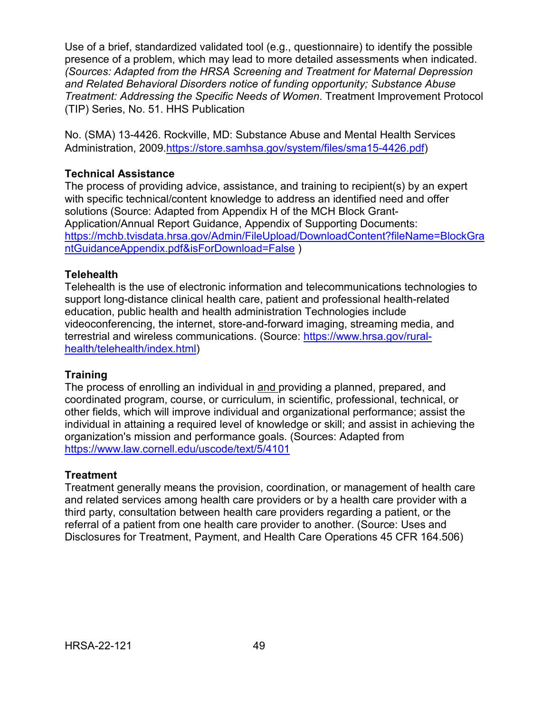Use of a brief, standardized validated tool (e.g., questionnaire) to identify the possible presence of a problem, which may lead to more detailed assessments when indicated. *(Sources: Adapted from the HRSA Screening and Treatment for Maternal Depression and Related Behavioral Disorders notice of funding opportunity; Substance Abuse Treatment: Addressing the Specific Needs of Women*. Treatment Improvement Protocol (TIP) Series, No. 51. HHS Publication

No. (SMA) 13-4426. Rockville, MD: Substance Abuse and Mental Health Services Administration, 2009[.https://store.samhsa.gov/system/files/sma15-4426.pdf\)](https://store.samhsa.gov/system/files/sma15-4426.pdf)

#### **Technical Assistance**

The process of providing advice, assistance, and training to recipient(s) by an expert with specific technical/content knowledge to address an identified need and offer solutions (Source: Adapted from Appendix H of the MCH Block Grant-Application/Annual Report Guidance, Appendix of Supporting Documents: [https://mchb.tvisdata.hrsa.gov/Admin/FileUpload/DownloadContent?fileName=BlockGra](https://mchb.tvisdata.hrsa.gov/Admin/FileUpload/DownloadContent?fileName=BlockGrantGuidanceAppendix.pdf&isForDownload=False) [ntGuidanceAppendix.pdf&isForDownload=False](https://mchb.tvisdata.hrsa.gov/Admin/FileUpload/DownloadContent?fileName=BlockGrantGuidanceAppendix.pdf&isForDownload=False) )

#### **Telehealth**

Telehealth is the use of electronic information and telecommunications technologies to support long-distance clinical health care, patient and professional health-related education, public health and health administration Technologies include videoconferencing, the internet, store-and-forward imaging, streaming media, and terrestrial and wireless communications. (Source: [https://www.hrsa.gov/rural](https://www.hrsa.gov/rural-health/telehealth/index.html)[health/telehealth/index.html\)](https://www.hrsa.gov/rural-health/telehealth/index.html)

#### **Training**

The process of enrolling an individual in and providing a planned, prepared, and coordinated program, course, or curriculum, in scientific, professional, technical, or other fields, which will improve individual and organizational performance; assist the individual in attaining a required level of knowledge or skill; and assist in achieving the organization's mission and performance goals. (Sources: Adapted from <https://www.law.cornell.edu/uscode/text/5/4101>

#### **Treatment**

Treatment generally means the provision, coordination, or management of health care and related services among health care providers or by a health care provider with a third party, consultation between health care providers regarding a patient, or the referral of a patient from one health care provider to another. (Source: Uses and Disclosures for Treatment, Payment, and Health Care Operations 45 CFR 164.506)